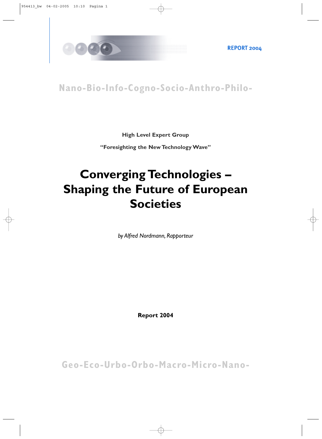

**Nano-Bio-Info-Cogno-Socio-Anthro-Philo-**

**High Level Expert Group**

**"Foresighting the New Technology Wave"**

# **Converging Technologies – Shaping the Future of European Societies**

*by Alfred Nordmann, Rapporteur*

**Report 2004**

**Geo-Eco-Urbo-Orbo-Macro-Micro-Nano-**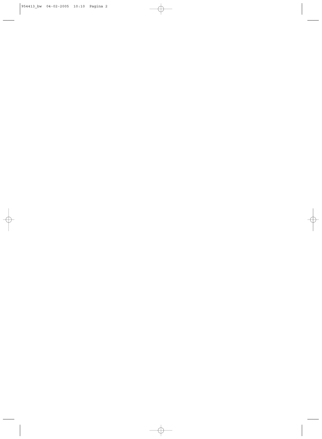954413\_bw 04-02-2005 10:10 Pagina 2

 $\overline{1}$ 

 $\overline{\mathcal{A}}$ 

 $\phi$ 

 $\Rightarrow$ 

 $\overline{\mathcal{T}}$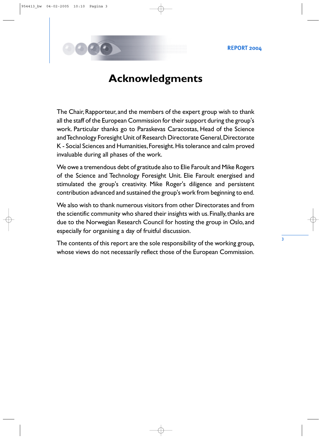3

# **Acknowledgments**

The Chair, Rapporteur, and the members of the expert group wish to thank all the staff of the European Commission for their support during the group's work. Particular thanks go to Paraskevas Caracostas, Head of the Science and Technology Foresight Unit of Research Directorate General,Directorate K - Social Sciences and Humanities,Foresight.His tolerance and calm proved invaluable during all phases of the work.

We owe a tremendous debt of gratitude also to Elie Faroult and Mike Rogers of the Science and Technology Foresight Unit. Elie Faroult energised and stimulated the group's creativity. Mike Roger's diligence and persistent contribution advanced and sustained the group's work from beginning to end.

We also wish to thank numerous visitors from other Directorates and from the scientific community who shared their insights with us.Finally,thanks are due to the Norwegian Research Council for hosting the group in Oslo, and especially for organising a day of fruitful discussion.

The contents of this report are the sole responsibility of the working group, whose views do not necessarily reflect those of the European Commission.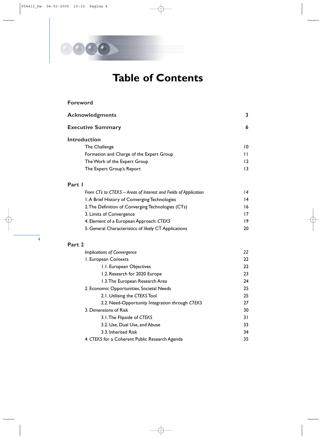# **Table of Contents**

| 6  |
|----|
|    |
| 10 |
| П  |
| 12 |
| 13 |
|    |

# **Part 1**

**Foreword**

| From CTs to CTEKS - Areas of Interest and Fields of Application | 14 |
|-----------------------------------------------------------------|----|
| I.A Brief History of Converging Technologies                    | 14 |
| 2. The Definition of Converging Technologies (CTs)              | ۱6 |
| 3. Limits of Convergence                                        | 17 |
| 4. Element of a European Approach: CTEKS                        | 19 |
| 5. General Characteristics of likely CT Applications            | 20 |

# **Part 2**

| <b>Implications of Convergence</b>              | 22 |
|-------------------------------------------------|----|
| I. European Contexts                            | 22 |
| I.I. European Objectives                        | 22 |
| 1.2. Research for 2020 Europe                   | 23 |
| 1.3. The European Research Area                 | 24 |
| 2. Economic Opportunities, Societal Needs       | 25 |
| 2.1. Utilising the CTEKS Tool                   | 25 |
| 2.2. Need-Opportunity Integration through CTEKS | 27 |
| 3. Dimensions of Risk                           | 30 |
| 3.1. The Flipside of CTEKS                      | 31 |
| 3.2. Use, Dual Use, and Abuse                   | 33 |
| 3.3. Inherited Risk                             | 34 |
| 4. CTEKS for a Coherent Public Research Agenda  | 35 |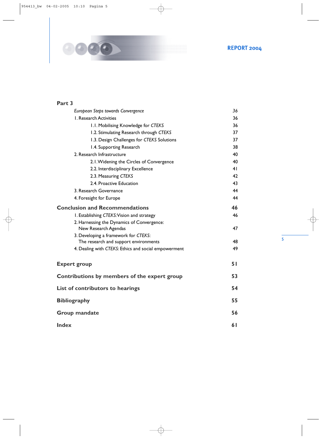

# **Part 3**

| European Steps towards Convergence                                            | 36  |
|-------------------------------------------------------------------------------|-----|
| I. Research Activities                                                        | 36  |
| 1.1. Mobilising Knowledge for CTEKS                                           | 36  |
| 1.2. Stimulating Research through CTEKS                                       | 37  |
| 1.3. Design Challenges for CTEKS Solutions                                    | 37  |
| 1.4. Supporting Research                                                      | 38  |
| 2. Research Infrastructure                                                    | 40  |
| 2.1. Widening the Circles of Convergence                                      | 40  |
| 2.2. Interdisciplinary Excellence                                             | 41  |
| 2.3. Measuring CTEKS                                                          | 42  |
| 2.4. Proactive Education                                                      | 43  |
| 3. Research Governance                                                        | 44  |
| 4. Foresight for Europe                                                       | 44  |
| <b>Conclusion and Recommendations</b>                                         | 46  |
| I. Establishing CTEKS: Vision and strategy                                    | 46  |
| 2. Harnessing the Dynamics of Convergence:<br>New Research Agendas            | 47  |
| 3. Developing a framework for CTEKS:<br>The research and support environments | 48  |
| 4. Dealing with CTEKS: Ethics and social empowerment                          | 49  |
| <b>Expert group</b>                                                           | 51  |
| Contributions by members of the expert group                                  | 53  |
| List of contributors to hearings                                              | 54  |
| <b>Bibliography</b>                                                           | 55  |
| Group mandate                                                                 | 56  |
| <b>Index</b>                                                                  | 6 I |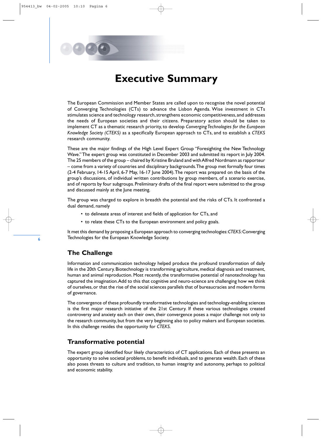# **Executive Summary**

The European Commission and Member States are called upon to recognise the novel potential of Converging Technologies (CTs) to advance the Lisbon Agenda. Wise investment in CTs stimulates science and technology research, strengthens economic competitiveness, and addresses the needs of European societies and their citizens. Preparatory action should be taken to implement CT as a thematic research priority, to develop *Converging Technologies for the European Knowledge Society (CTEKS)* as a specifically European approach to CTs, and to establish a *CTEKS* research community.

These are the major findings of the High Level Expert Group "Foresighting the New Technology Wave." The expert group was constituted in December 2003 and submitted its report in July 2004. The 25 members of the group – chaired by Kristine Bruland and with Alfred Nordmann as rapporteur – come from a variety of countries and disciplinary backgrounds.The group met formally four times (2-4 February, 14-15 April, 6-7 May, 16-17 June 2004).The report was prepared on the basis of the group's discussions, of individual written contributions by group members, of a scenario exercise, and of reports by four subgroups. Preliminary drafts of the final report were submitted to the group and discussed mainly at the June meeting.

The group was charged to explore in breadth the potential and the risks of CTs. It confronted a dual demand, namely

- to delineate areas of interest and fields of application for CTs, and
- to relate these CTs to the European environment and policy goals.

It met this demand by proposing a European approach to converging technologies:*CTEKS*:Converging Technologies for the European Knowledge Society.

# **The Challenge**

6

Information and communication technology helped produce the profound transformation of daily life in the 20th Century. Biotechnology is transforming agriculture, medical diagnosis and treatment, human and animal reproduction. Most recently, the transformative potential of nanotechnology has captured the imagination.Add to this that cognitive and neuro-science are challenging how we think of ourselves,or that the rise of the social sciences parallels that of bureaucracies and modern forms of governance.

The convergence of these profoundly transformative technologies and technology-enabling sciences is the first major research initiative of the 21st Century. If these various technologies created controversy and anxiety each on their own, their convergence poses a major challenge not only to the research community, but from the very beginning also to policy makers and European societies. In this challenge resides the opportunity for *CTEKS.*

# **Transformative potential**

The expert group identified four likely characteristics of CT applications. Each of these presents an opportunity to solve societal problems, to benefit individuals, and to generate wealth. Each of these also poses threats to culture and tradition, to human integrity and autonomy, perhaps to political and economic stability.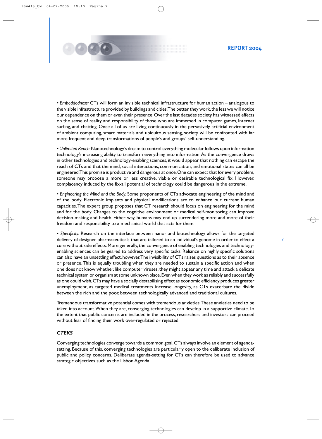954413\_bw 04-02-2005 10:10 Pagina 7

*• Embeddedness:* CTs will form an invisible technical infrastructure for human action – analogous to the visible infrastructure provided by buildings and cities. The better they work, the less we will notice our dependence on them or even their presence.Over the last decades society has witnessed effects on the sense of reality and responsibility of those who are immersed in computer games, Internet surfing, and chatting. Once all of us are living continuously in the pervasively artificial environment of ambient computing, smart materials and ubiquitous sensing, society will be confronted with far more frequent and deep transformations of people's and groups' self-understanding.

*• Unlimited Reach:*Nanotechnology's dream to control everything molecular follows upon information technology's increasing ability to transform everything into information.As the convergence draws in other technologies and technology-enabling sciences,it would appear that nothing can escape the reach of CTs and that the mind, social interactions, communication, and emotional states can all be engineered.This promise is productive and dangerous at once.One can expect that for every problem, someone may propose a more or less creative, viable or desirable technological fix. However, complacency induced by the fix-all potential of technology could be dangerous in the extreme.

*• Engineering the Mind and the Body:* Some proponents of CTs advocate engineering of the mind and of the body. Electronic implants and physical modifications are to enhance our current human capacities.The expert group proposes that CT research should focus on engineering for the mind and for the body. Changes to the cognitive environment or medical self-monitoring can improve decision-making and health. Either way, humans may end up surrendering more and more of their freedom and responsibility to a mechanical world that acts for them.

*• Specificity:* Research on the interface between nano- and biotechnology allows for the targeted delivery of designer pharmaceuticals that are tailored to an individual's genome in order to effect a cure without side effects. More generally, the convergence of enabling technologies and technologyenabling sciences can be geared to address very specific tasks. Reliance on highly specific solutions can also have an unsettling effect, however. The invisibility of CTs raises questions as to their absence or presence.This is equally troubling when they are needed to sustain a specific action and when one does not know whether, like computer viruses, they might appear any time and attack a delicate technical system or organism at some unknown place.Even when they work as reliably and successfully as one could wish,CTs may have a socially destabilising effect as economic efficiency produces greater unemployment, as targeted medical treatments increase longevity, as CTs exacerbate the divide between the rich and the poor, between technologically advanced and traditional cultures.

Tremendous transformative potential comes with tremendous anxieties.These anxieties need to be taken into account.When they are, converging technologies can develop in a supportive climate.To the extent that public concerns are included in the process, researchers and investors can proceed without fear of finding their work over-regulated or rejected.

## *CTEKS*

Converging technologies converge towards a common goal.CTs always involve an element of agendasetting. Because of this, converging technologies are particularly open to the deliberate inclusion of public and policy concerns. Deliberate agenda-setting for CTs can therefore be used to advance strategic objectives such as the Lisbon Agenda.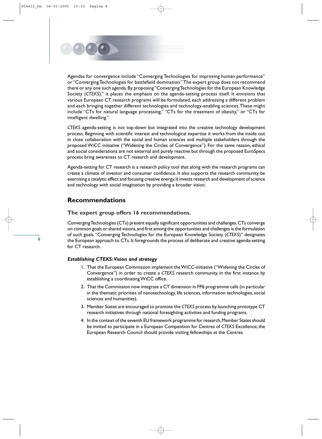Agendas for convergence include "Converging Technologies for improving human performance" or "Converging Technologies for battlefield domination." The expert group does not recommend there or any one such agenda.By proposing "Converging Technologies for the European Knowledge Society (*CTEKS*)," it places the emphasis on the agenda-setting process itself. It envisions that various European CT research programs will be formulated, each addressing a different problem and each bringing together different technologies and technology-enabling sciences.These might include "CTs for natural language processing," "CTs for the treatment of obesity," or "CTs for intelligent dwelling."

*CTEKS* agenda-setting is not top-down but integrated into the creative technology development process. Beginning with scientific interest and technological expertise it works from the inside out in close collaboration with the social and human sciences and multiple stakeholders through the proposed WiCC initiative ("Widening the Circles of Convergence"). For the same reason, ethical and social considerations are not external and purely reactive but through the proposed EuroSpecs process bring awareness to CT research and development.

Agenda-setting for CT research is a research policy tool that along with the research programs can create a climate of investor and consumer confidence. It also supports the research community be exercising a catalytic effect and focusing creative energy.It invests research and development of science and technology with social imagination by providing a broader vision.

# **Recommendations**

**The expert group offers 16 recommendations.**

Converging Technologies (CTs) present equally significant opportunities and challenges.CTs converge on common goals or shared visions,and first among the opportunities and challenges is the formulation of such goals."Converging Technologies for the European Knowledge Society (*CTEKS*)" designates the European approach to CTs. It foregrounds the process of deliberate and creative agenda-setting for CT research.

#### *Establishing CTEKS:Vision and strategy*

- 1. That the European Commission implement the WiCC-initiative ("Widening the Circles of Convergence") in order to create a *CTEKS* research community, in the first instance by establishing a coordinating WiCC office.
- 2. That the Commission now integrate a CT dimension in FP6 programme calls (in particular in the thematic priorities of nanotechnology, life sciences, information technologies, social sciences and humanities).
- 3. Member States are encouraged to promote the *CTEKS* process by launching prototype CT research initiatives through national foresighting activities and funding programs.
- 4. In the context of the seventh EU framework programme for research, Member States should be invited to participate in a European Competition for Centres of *CTEKS* Excellence; the European Research Council should provide visiting fellowships at the Centres.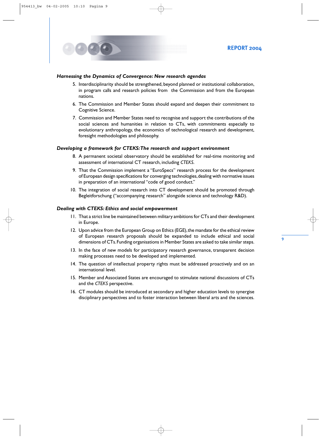

#### *Harnessing the Dynamics of Convergence: New research agendas*

- 5. Interdisciplinarity should be strengthened, beyond planned or institutional collaboration, in program calls and research policies from the Commission and from the European nations.
- 6. The Commission and Member States should expand and deepen their commitment to Cognitive Science.
- 7. Commission and Member States need to recognise and support the contributions of the social sciences and humanities in relation to CTs, with commitments especially to evolutionary anthropology, the economics of technological research and development, foresight methodologies and philosophy.

#### *Developing a framework for CTEKS:The research and support environment*

- 8. A permanent societal observatory should be established for real-time monitoring and assessment of international CT research, including *CTEKS*.
- 9. That the Commission implement a "EuroSpecs" research process for the development of European design specifications for converging technologies,dealing with normative issues in preparation of an international "code of good conduct."
- 10. The integration of social research into CT development should be promoted through Begleitforschung ("accompanying research" alongside science and technology R&D).

## *Dealing with CTEKS: Ethics and social empowerment*

- 11. That a strict line be maintained between military ambitions for CTs and their development in Europe.
- 12. Upon advice from the European Group on Ethics (EGE),the mandate for the ethical review of European research proposals should be expanded to include ethical and social dimensions of CTs.Funding organisations in Member States are asked to take similar steps.
- 13. In the face of new models for participatory research governance, transparent decision making processes need to be developed and implemented.
- 14. The question of intellectual property rights must be addressed proactively and on an international level.
- 15. Member and Associated States are encouraged to stimulate national discussions of CTs and the *CTEKS* perspective.
- 16. CT modules should be introduced at secondary and higher education levels to synergise disciplinary perspectives and to foster interaction between liberal arts and the sciences.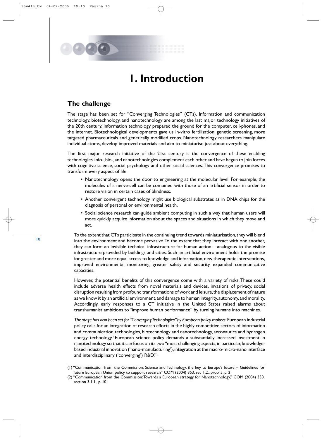# **1. Introduction**

# **The challenge**

The stage has been set for "Converging Technologies" (CTs). Information and communication technology, biotechnology, and nanotechnology are among the last major technology initiatives of the 20th century. Information technology prepared the ground for the computer, cell-phones, and the internet. Biotechnological developments gave us in-vitro fertilisation, genetic screening, more targeted pharmaceuticals and genetically modified crops. Nanotechnology researchers manipulate individual atoms, develop improved materials and aim to miniaturise just about everything.

The first major research initiative of the 21st century is the convergence of these enabling technologies.Info-,bio-,and nanotechnologies complement each other and have begun to join forces with cognitive science, social psychology and other social sciences.This convergence promises to transform every aspect of life.

- Nanotechnology opens the door to engineering at the molecular level. For example, the molecules of a nerve-cell can be combined with those of an artificial sensor in order to restore vision in certain cases of blindness.
- Another convergent technology might use biological substrates as in DNA chips for the diagnosis of personal or environmental health.
- Social science research can guide ambient computing in such a way that human users will more quickly acquire information about the spaces and situations in which they move and act.

To the extent that CTs participate in the continuing trend towards miniaturisation,they will blend into the environment and become pervasive.To the extent that they interact with one another, they can form an invisible technical infrastructure for human action – analogous to the visible infrastructure provided by buildings and cities. Such an artificial environment holds the promise for greater and more equal access to knowledge and information, new therapeutic interventions, improved environmental monitoring, greater safety and security, expanded communicative capacities.

However, the potential benefits of this convergence come with a variety of risks.These could include adverse health effects from novel materials and devices, invasions of privacy, social disruption resulting from profound transformations of work and leisure,the displacement of nature as we know it by an artificial environment, and damage to human integrity, autonomy, and morality. Accordingly, early responses to a CT initiative in the United States raised alarms about transhumanist ambitions to "improve human performance" by turning humans into machines.

*The stage has also been set for "Converging Technologies"by European policy makers.*European industrial policy calls for an integration of research efforts in the highly competitive sectors of information and communication technologies, biotechnology and nanotechnology, aeronautics and hydrogen energy technology.<sup>1</sup> European science policy demands a substantially increased investment in nanotechnology so that it can focus on its two "most challenging aspects, in particular, knowledgebased industrial innovation ('nano-manufacturing'),integration at the macro-micro-nano interface and interdisciplinary ('converging') R&D."<sup>2</sup>

<sup>(1) &</sup>quot;Communication from the Commission: Science and Technology, the key to Europe's future – Guidelines for future European Union policy to support research" COM (2004) 353, sec 1.2., prop. 5, p. 2

<sup>(2) &</sup>quot;Communication from the Commission:Towards a European strategy for Nanotechnology," COM (2004) 338, section 3.1.1., p. 10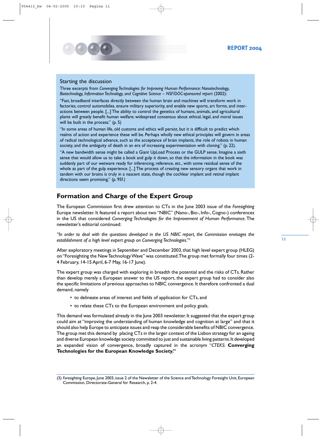### Starting the discussion

Three excerpts from *Converging Technologies for Improving Human Performance: Nanotechnology, Biotechnology, Information Technology, and Cognitive Science – NSF/DOC-sponsored report* (2002):

"Fast, broadband interfaces directly between the human brain and machines will transform work in factories, control automobiles, ensure military superiority, and enable new sports, art forms, and interactions between people. [...] The ability to control the genetics of humans, animals, and agricultural plants will greatly benefit human welfare; widespread consensus about ethical, legal, and moral issues will be built in the process." (p. 5)

"In some areas of human life, old customs and ethics will persist, but it is difficult to predict which realms of action and experience these will be. Perhaps wholly new ethical principles will govern in areas of radical technological advance, such as the acceptance of brain implants, the role of robots in human society, and the ambiguity of death in an era of increasing experimentation with cloning." (p. 22).

"A new bandwidth sense might be called a Giant UpLoad Process or the GULP sense. Imagine a sixth sense that would allow us to take a book and gulp it down, so that the information in the book was suddenly part of our wetware ready for inferencing, reference, etc., with some residual sense of the whole as part of the gulp experience. [...] The process of creating new sensory organs that work in tandem with our brains is truly in a nascent state, though the cochlear implant and retinal implant directions seem promising." (p. 95f.)

# **Formation and Charge of the Expert Group**

The European Commission first drew attention to CTs in the June 2003 issue of the *Foresighting* Europe newsletter. It featured a report about two "NBIC" (Nano-, Bio-, Info-, Cogno-) conferences in the US that considered *Converging Technologies for the Improvement of Human Performance*. The newsletter's editorial continued:

*"In order to deal with the questions developed in the US NBIC report, the Commission envisages the establishment of a high level expert group on Converging Technologies."<sup>3</sup>*

After exploratory meetings in September and December 2003,that high level expert group (HLEG) on "Foresighting the New Technology Wave" was constituted.The group met formally four times (2- 4 February, 14-15 April, 6-7 May, 16-17 June).

The expert group was charged with exploring in breadth the potential and the risks of CTs. Rather than develop merely a European answer to the US report, the expert group had to consider also the specific limitations of previous approaches to NBIC convergence. It therefore confronted a dual demand, namely

- to delineate areas of interest and fields of application for CTs, and
- to relate these CTs to the European environment and policy goals.

This demand was formulated already in the June 2003 newsletter. It suggested that the expert group could aim at "improving the understanding of human knowledge and cognition at large" and that it should also help Europe to anticipate issues and reap the considerable benefits of NBIC convergence. The group met this demand by placing CTs in the larger context of the Lisbon strategy for an ageing and diverse European knowledge society committed to just and sustainable living patterns.It developed an expanded vision of convergence, broadly captured in the acronym "*CTEKS*: **Converging Technologies for the European Knowledge Society."**

<sup>(3)</sup> *Foresighting* Europe, June 2003, issue 2 of the Newsletter of the Science and Technology Foresight Unit, European Commission, Directorate-General for Research, p. 2-4.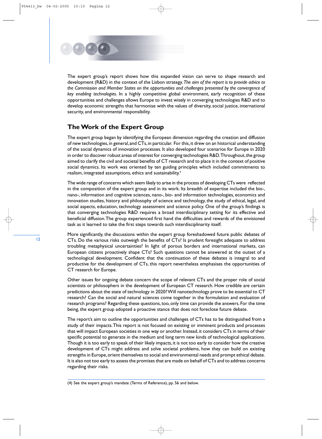12

The expert group's report shows how this expanded vision can serve to shape research and development (R&D) in the context of the Lisbon strategy. *The aim of the report is to provide advice to the Commission and Member States on the opportunities and challenges presented by the convergence of key enabling technologies*. In a highly competitive global environment, early recognition of these opportunities and challenges allows Europe to invest wisely in converging technologies R&D and to develop economic strengths that harmonise with the values of diversity, social justice, international security, and environmental responsibility.

# **The Work of the Expert Group**

The expert group began by identifying the European dimension regarding the creation and diffusion of new technologies,in general,and CTs,in particular. For this,it drew on an historical understanding of the social dynamics of innovation processes. It also developed four scenarios for Europe in 2020 in order to discover robust areas of interest for converging technologies R&D. Throughout, the group aimed to clarify the civil and societal benefits of CT research and to place it in the context of positive social dynamics. Its work was oriented by ten guiding principles which included commitments to realism, integrated assumptions, ethics and sustainability.<sup>4</sup>

The wide range of concerns which seem likely to arise in the process of developing CTs were reflected in the composition of the expert group and in its work. Its breadth of expertise included the bio-, nano-, information and cognitive sciences, nano-, bio- and information technologies, economics and innovation studies, history and philosophy of science and technology, the study of ethical, legal, and social aspects, education, technology assessment and science policy. One of the group's findings is that converging technologies R&D requires a broad interdisciplinary setting for its effective and beneficial diffusion.The group experienced first hand the difficulties and rewards of the envisioned task as it learned to take the first steps towards such interdisciplinarity itself.

More significantly, the discussions within the expert group foreshadowed future public debates of CTs. Do the various risks outweigh the benefits of CTs? Is prudent foresight adequate to address troubling metaphysical uncertainties? In light of porous borders and international markets, can European citizens proactively shape CTs? Such questions cannot be answered at the outset of a technological development. Confident that the continuation of these debates is integral to and productive for the development of CTs, this report nevertheless emphasises the opportunities of CT research for Europe.

Other issues for ongoing debate concern the scope of relevant CTs and the proper role of social scientists or philosophers in the development of European CT research. How credible are certain predictions about the state of technology in 2020? Will nanotechnology prove to be essential to CT research? Can the social and natural sciences come together in the formulation and evaluation of research programs? Regarding these questions, too, only time can provide the answers. For the time being, the expert group adopted a proactive stance that does not foreclose future debate.

The report's aim to outline the opportunities and challenges of CTs has to be distinguished from a study of their impacts.This report is not focused on existing or imminent products and processes that will impact European societies in one way or another.Instead,it considers CTs in terms of their specific potential to generate in the medium and long term new kinds of technological applications. Though it is too early to speak of their likely impacts, it is not too early to consider how the creative development of CTs might address and solve societal problems, how they can build on existing strengths in Europe,orient themselves to social and environmental needs and prompt ethical debate. It is also not too early to assess the promises that are made on behalf of CTs and to address concerns regarding their risks.

(4) See the expert group's mandate (Terms of Reference), pp. 56 and below.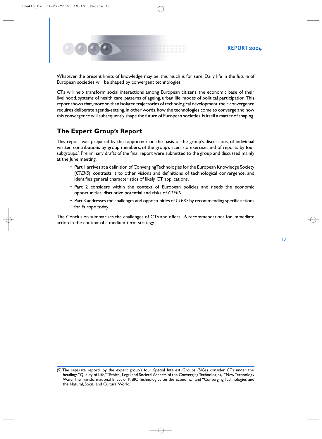Whatever the present limits of knowledge may be, this much is for sure: Daily life in the future of European societies will be shaped by convergent technologies.

CTs will help transform social interactions among European citizens, the economic base of their livelihood, systems of health care, patterns of ageing, urban life, modes of political participation.This report shows that,more so than isolated trajectories of technological development,their convergence requires deliberate agenda-setting. In other words, how the technologies come to converge and how this convergence will subsequently shape the future of European societies, is itself a matter of shaping.

# **The Expert Group's Report**

This report was prepared by the rapporteur on the basis of the group's discussions, of individual written contributions by group members, of the group's scenario exercise, and of reports by four subgroups.<sup>5</sup> Preliminary drafts of the final report were submitted to the group and discussed mainly at the June meeting.

- Part I arrives at a definition of Converging Technologies for the European Knowledge Society (*CTEKS*), contrasts it to other visions and definitions of technological convergence, and identifies general characteristics of likely CT applications.
- Part 2 considers within the context of European policies and needs the economic opportunities, disruptive potential and risks of *CTEKS*.
- Part 3 addresses the challenges and opportunities of *CTEKS* by recommending specific actions for Europe today.

The Conclusion summarises the challenges of CTs and offers 16 recommendations for immediate action in the context of a medium-term strategy.

<sup>(5)</sup> The separate reports by the expert group's four Special Interest Groups (SIGs) consider CTs under the headings "Quality of Life," "Ethical, Legal and Societal Aspects of the Converging Technologies," "New Technology Wave:The Transformational Effect of NBIC Technologies on the Economy," and "Converging Technologies and the Natural, Social and Cultural World."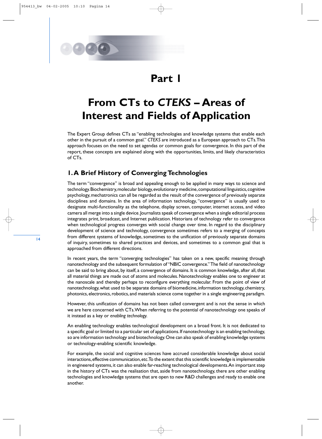# **Part 1**

# **From CTs to** *CTEKS* **– Areas of Interest and Fields of Application**

The Expert Group defines CTs as "enabling technologies and knowledge systems that enable each other in the pursuit of a common goal." *CTEKS* are introduced as a European approach to CTs.This approach focuses on the need to set agendas or common goals for convergence. In this part of the report, these concepts are explained along with the opportunities, limits, and likely characteristics of CTs.

# **1.A Brief History of Converging Technologies**

The term "convergence" is broad and appealing enough to be applied in many ways to science and technology.Biochemistry,molecular biology,evolutionary medicine,computational linguistics,cognitive psychology,mechatronics can all be regarded as the result of the convergence of previously separate disciplines and domains. In the area of information technology, "convergence" is usually used to designate multi-functionality as the telephone, display screen, computer, internet access, and video camera all merge into a single device.Journalists speak of convergence when a single editorial process integrates print, broadcast, and Internet publication. Historians of technology refer to convergence when technological progress converges with social change over time. In regard to the disciplinary development of science and technology, convergence sometimes refers to a merging of concepts from different systems of knowledge, sometimes to the unification of previously separate domains of inquiry, sometimes to shared practices and devices, and sometimes to a common goal that is approached from different directions.

In recent years, the term "converging technologies" has taken on a new, specific meaning through nanotechnology and the subsequent formulation of "NBIC convergence." The field of nanotechnology can be said to bring about, by itself, a convergence of domains. It is common knowledge, after all, that all material things are made out of atoms and molecules. Nanotechnology enables one to engineer at the nanoscale and thereby perhaps to reconfigure everything molecular. From the point of view of nanotechnology, what used to be separate domains of biomedicine, information technology, chemistry, photonics, electronics, robotics, and materials science come together in a single engineering paradigm.

However, this unification of domains has not been called convergent and is not the sense in which we are here concerned with CTs.When referring to the potential of nanotechnology one speaks of it instead as a key or *enabling technology.*

An enabling technology enables technological development on a broad front. It is not dedicated to a specific goal or limited to a particular set of applications.If nanotechnology is an enabling technology, so are information technology and biotechnology.One can also speak of enabling knowledge systems or technology-enabling scientific knowledge.

For example, the social and cognitive sciences have accrued considerable knowledge about social interactions,effective communication,etc.To the extent that this scientific knowledge is implementable in engineered systems,it can also enable far-reaching technological developments.An important step in the history of CTs was the realisation that, aside from nanotechnology, there are other enabling technologies and knowledge systems that are open to new R&D challenges and ready to enable one another.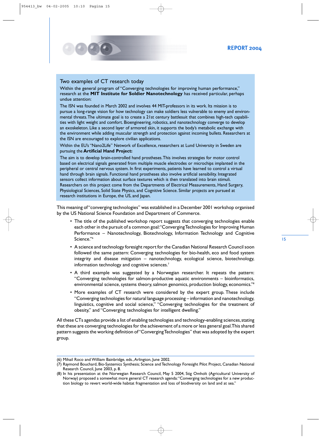#### Two examples of CT research today

Within the general program of "Converging technologies for improving human performance," research at the **MIT Institute for Soldier Nanotechnology** has received particular, perhaps undue attention:

The ISN was founded in March 2002 and involves 44 MIT-professors in its work. Its mission is to pursue a long-range vision for how technology can make soldiers less vulnerable to enemy and environmental threats.The ultimate goal is to create a 21st century battlesuit that combines high-tech capabilities with light weight and comfort. Bioengineering, robotics, and nanotechnology converge to develop an exoskeleton. Like a second layer of armored skin, it supports the body's metabolic exchange with the environment while adding muscular strength and protection against incoming bullets. Researchers at the ISN are encouraged to explore civilian applications.

Within the EU's "Nano2Life" Network of Excellence, researchers at Lund University in Sweden are pursuing the **Artificial Hand Project:**

The aim is to develop brain-controlled hand prostheses.This involves strategies for motor control based on electrical signals generated from multiple muscle electrodes or microchips implanted in the peripheral or central nervous system. In first experiments, patients have learned to control a virtual hand through brain signals. Functional hand prostheses also involve artificial sensibility. Integrated sensors collect information about surface textures which is then translated into brain stimuli. Researchers on this project come from the Departments of Electrical Measurements, Hand Surgery, Physiological Sciences, Solid State Physics, and Cognitive Science. Similar projects are pursued at research institutions in Europe, the US, and Japan.

This meaning of "converging technologies" was established in a December 2001 workshop organised by the US National Science Foundation and Department of Commerce.

- The title of the published workshop report suggests that converging technologies enable each other in the pursuit of a common goal:"Converging Technologies for Improving Human Performance – Nanotechnology, Biotechnology, Information Technology and Cognitive Science."<sup>6</sup>
- A science and technology foresight report for the Canadian National Research Council soon followed the same pattern: Converging technologies for bio-health, eco and food system integrity and disease mitigation – nanotechnology, ecological science, biotechnology, information technology and cognitive sciences.<sup>7</sup>
- A third example was suggested by a Norwegian researcher. It repeats the pattern: "Converging technologies for salmon-productive aquatic environments – bioinformatics, environmental science, systems theory, salmon genomics, production biology, economics."<sup>8</sup>
- More examples of CT research were considered by the expert group. These include "Converging technologies for natural language processing – information and nanotechnology, linguistics, cognitive and social science," "Converging technologies for the treatment of obesity," and "Converging technologies for intelligent dwelling."

All these CTs agendas provide a list of enabling technologies and technology-enabling sciences, stating that these are converging technologies for the achievement of a more or less general goal.This shared pattern suggests the working definition of "Converging Technologies" that was adopted by the expert group.

<sup>(6)</sup> Mihail Roco and William Bainbridge, eds., Arlington, June 2002.

<sup>(7)</sup> Raymond Bouchard, Bio-Systemics Synthesis; Science and Technology Foresight Pilot Project, Canadian National Research Council, June 2003, p. 8.

<sup>(8)</sup> In his presentation at the Norwegian Research Council, May 5 2004, Stig Omholt (Agricultural University of Norway) proposed a somewhat more general CT research agenda:"Converging technologies for a new production biology to revert world-wide habitat fragmentation and loss of biodiversity on land and at sea."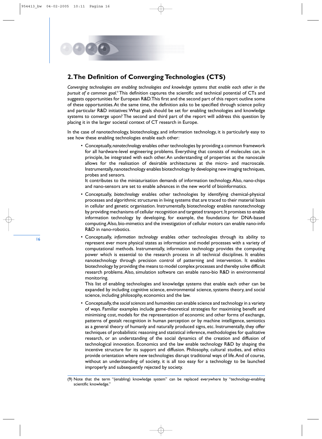# **2.The Definition of Converging Technologies (CTS)**

*Converging technologies are enabling technologies and knowledge systems that enable each other in the pursuit of a common goal.<sup>9</sup>* This definition captures the scientific and technical potential of CTs and suggests opportunities for European R&D.This first and the second part of this report outline some of these opportunities.At the same time, the definition asks to be specified through science policy and particular R&D initiatives:What goals should be set for enabling technologies and knowledge systems to converge upon? The second and third part of the report will address this question by placing it in the larger societal context of CT research in Europe.

In the case of nanotechnology, biotechnology, and information technology, it is particularly easy to see how these enabling technologies enable each other:

• Conceptually,*nanotechnology* enables other technologies by providing a common framework for all hardware-level engineering problems. Everything that consists of molecules can, in principle, be integrated with each other.An understanding of properties at the nanoscale allows for the realisation of desirable architectures at the micro- and macroscale. Instrumentally,nanotechnology enables biotechnology by developing new imaging techniques, probes and sensors.

It contributes to the miniaturisation demands of information technology.Also, nano-chips and nano-sensors are set to enable advances in the new world of bioinformatics.

- Conceptually, *biotechnology* enables other technologies by identifying chemical-physical processes and algorithmic structures in living systems that are traced to their material basis in cellular and genetic organisation. Instrumentally, biotechnology enables nanotechnology by providing mechanisms of cellular recognition and targeted transport.It promises to enable information technology by developing, for example, the foundations for DNA-based computing.Also, bio-mimetics and the investigation of cellular motors can enable nano-info R&D in nano-robotics.
- Conceptually, *information technology* enables other technologies through its ability to represent ever more physical states as information and model processes with a variety of computational methods. Instrumentally, information technology provides the computing power which is essential to the research process in all technical disciplines. It enables nanotechnology through precision control of patterning and intervention. It enables biotechnology by providing the means to model complex processes and thereby solve difficult research problems. Also, simulation software can enable nano-bio R&D in environmental monitoring.

This list of enabling technologies and knowledge systems that enable each other can be expanded by including cognitive science, environmental science, systems theory, and social science, including philosophy, economics and the law.

• Conceptually,the *social sciences* and *humanities* can enable science and technology in a variety of ways. Familiar examples include game-theoretical strategies for maximising benefit and minimising cost, models for the representation of economic and other forms of exchange, patterns of gestalt recognition in human perception or by machine intelligence, semiotics as a general theory of humanly and naturally produced signs, etc. Instrumentally, they offer techniques of probabilistic reasoning and statistical inference,methodologies for qualitative research, or an understanding of the social dynamics of the creation and diffusion of technological innovation. Economics and the law enable technology R&D by shaping the incentive structure for its support and diffusion. Philosophy, cultural studies, and ethics provide orientation where new technologies disrupt traditional ways of life.And of course, without an understanding of society, it is all too easy for a technology to be launched improperly and subsequently rejected by society.

<sup>(9)</sup> Note that the term "(enabling) knowledge system" can be replaced everywhere by "technology-enabling scientific knowledge."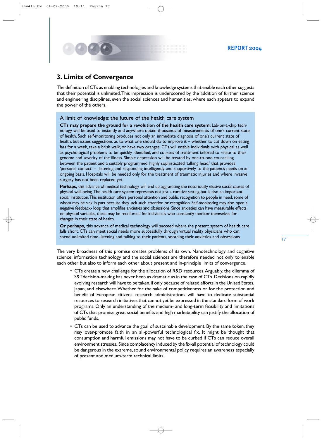# **3. Limits of Convergence**

The definition of CTs as enabling technologies and knowledge systems that enable each other suggests that their potential is unlimited.This impression is underscored by the addition of further science and engineering disciplines, even the social sciences and humanities, where each appears to expand the power of the others.

### A limit of knowledge: the future of the health care system

**CTs may prepare the ground for a revolution of the health care system:** Lab-on-a-chip technology will be used to instantly and anywhere obtain thousands of measurements of one's current state of health. Such self-monitoring produces not only an immediate diagnosis of one's current state of health, but issues suggestions as to what one should do to improve it – whether to cut down on eating fats for a week, take a brisk walk, or have two oranges. CTs will enable individuals with physical as well as psychological problems to be quickly identified, and courses of treatment tailored to relate to their genome and severity of the illness. Simple depression will be treated by one-to-one counselling between the patient and a suitably programmed, highly sophisticated 'talking head,' that provides 'personal contact' – listening and responding intelligently and supportively to the patient's needs on an ongoing basis. Hospitals will be needed only for the treatment of traumatic injuries and where invasive surgery has not been replaced yet.

**Perhaps,** this advance of medical technology will end up aggravating the notoriously elusive social causes of physical well-being. The health care system represents not just a curative setting but is also an important social institution.This institution offers personal attention and public recognition to people in need, some of whom may be sick in part because they lack such attention or recognition. Self-monitoring may also open a negative feedback- loop that amplifies anxieties and obsessions. Since anxieties can have measurable effects on physical variables, these may be reenforced for individuals who constantly monitor themselves for changes in their state of health.

**Or perhaps,** this advance of medical technology will succeed where the present system of health care falls short. CTs can meet social needs more successfully through virtual reality physicians who can spend unlimited time listening and talking to their patients, soothing their anxieties and obsessions.

The very broadness of this promise creates problems of its own. Nanotechnology and cognitive science, information technology and the social sciences are therefore needed not only to enable each other but also to inform each other about present and in-principle limits of convergence.

- CTs create a new challenge for the allocation of R&D resources.Arguably, the dilemma of S&Tdecision-making has never been as dramatic as in the case of CTs. Decisions on rapidly evolving research will have to be taken,if only because of related efforts in the United States, Japan, and elsewhere.Whether for the sake of competitiveness or for the protection and benefit of European citizens, research administrations will have to dedicate substantial resources to research initiatives that cannot yet be expressed in the standard form of work programs. Only an understanding of the medium- and long-term feasibility and limitations of CTs that promise great social benefits and high marketability can justify the allocation of public funds.
- CTs can be used to advance the goal of sustainable development. By the same token, they may over-promote faith in an all-powerful technological fix. It might be thought that consumption and harmful emissions may not have to be curbed if CTs can reduce overall environment stresses. Since complacency induced by the fix-all potential of technology could be dangerous in the extreme, sound environmental policy requires an awareness especially of present and medium-term technical limits.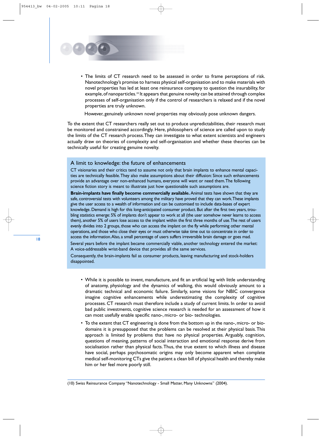• The limits of CT research need to be assessed in order to frame perceptions of risk. Nanotechnology's promise to harness physical self-organisation and to make materials with novel properties has led at least one reinsurance company to question the insurability, for example, of nanoparticles.<sup>10</sup> It appears that genuine novelty can be attained through complex processes of self-organisation only if the control of researchers is relaxed and if the novel properties are truly unknown.

However, genuinely unknown novel properties may obviously pose unknown dangers.

To the extent that CT researchers really set out to produce unpredictabilities, their research must be monitored and constrained accordingly. Here, philosophers of science are called upon to study the limits of the CT research process.They can investigate to what extent scientists and engineers actually draw on theories of complexity and self-organisation and whether these theories can be technically useful for creating genuine novelty.

#### A limit to knowledge: the future of enhancements

CT visionaries and their critics tend to assume not only that brain implants to enhance mental capacities are technically feasible.They also make assumptions about their diffusion: Since such enhancements provide an advantage over non-enhanced humans, everyone will want or need them.The following science fiction story is meant to illustrate just how questionable such assumptions are.

**Brain-implants have finally become commercially available.** Animal tests have shown that they are safe, controversial tests with volunteers among the military have proved that they can work.These implants give the user access to a wealth of information and can be customised to include data-bases of expert knowledge. Demand is high for this long-anticipated consumer product. But after the first two years, troubling statistics emerge: 5% of implants don't appear to work at all (the user somehow never learns to access them), another 5% of users lose access to the implant within the first three months of use.The rest of users evenly divides into 2 groups, those who can access the implant on the fly while performing other mental operations, and those who close their eyes or must otherwise take time out to concentrate in order to access the information.Also, a small percentage of users suffers irreversible brain damage or goes mad.

Several years before the implant became commercially viable, another technology entered the market: A voice-addressable wrist-band device that provides all the same services.

Consequently, the brain-implants fail as consumer products, leaving manufacturing and stock-holders disappointed.

- While it is possible to invent, manufacture, and fit an artificial leg with little understanding of anatomy, physiology and the dynamics of walking, this would obviously amount to a dramatic technical and economic failure. Similarly, some visions for NBIC convergence imagine cognitive enhancements while underestimating the complexity of cognitive processes. CT research must therefore include a study of current limits. In order to avoid bad public investments, cognitive science research is needed for an assessment of how it can most usefully enable specific nano-, micro- or bio- technologies.
- To the extent that CT engineering is done from the bottom up in the nano-, micro- or biodomains it is presupposed that the problems can be resolved at their physical basis.This approach is limited by problems that have no physical properties. Arguably, cognition, questions of meaning, patterns of social interaction and emotional response derive from socialisation rather than physical facts. Thus, the true extent to which illness and disease have social, perhaps psychosomatic origins may only become apparent when complete medical self-monitoring CTs give the patient a clean bill of physical health and thereby make him or her feel more poorly still.

<sup>(10)</sup> Swiss Reinsurance Company "Nanotechnology - Small Matter, Many Unknowns" (2004).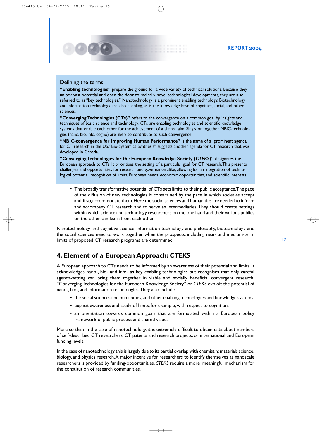### Defining the terms

**"Enabling technologies"** prepare the ground for a wide variety of technical solutions. Because they unlock vast potential and open the door to radically novel technological developments, they are also referred to as "key technologies." Nanotechnology is a prominent enabling technology. Biotechnology and information technology are also enabling, as is the knowledge base of cognitive, social, and other sciences.

**"Converging Technologies (CTs)"** refers to the convergence on a common goal by insights and techniques of basic science and technology: CTs are enabling technologies and scientific knowledge systems that enable each other for the achievement of a shared aim. Singly or together, NBIC-technologies (nano, bio, info, cogno) are likely to contribute to such convergence.

**"NBIC-convergence for Improving Human Performance"** is the name of a prominent agenda for CT research in the US."Bio-Systemics Synthesis" suggests another agenda for CT research that was developed in Canada.

**"Converging Technologies for the European Knowledge Society (***CTEKS***)"** designates the European approach to CTs. It prioritises the setting of a particular goal for CT research.This presents challenges and opportunities for research and governance alike, allowing for an integration of technological potential, recognition of limits, European needs, economic opportunities, and scientific interests.

• The broadly transformative potential of CTs sets limits to their public acceptance.The pace of the diffusion of new technologies is constrained by the pace in which societies accept and,if so,accommodate them.Here the social sciences and humanities are needed to inform and accompany CT research and to serve as intermediaries.They should create settings within which science and technology researchers on the one hand and their various publics on the other, can learn from each other.

Nanotechnology and cognitive science, information technology and philosophy, biotechnology and the social sciences need to work together when the prospects, including near- and medium-term limits of proposed CT research programs are determined.

# **4. Element of a European Approach:** *CTEKS*

A European approach to CTs needs to be informed by an awareness of their potential and limits. It acknowledges nano-, bio- and info- as key enabling technologies but recognises that only careful agenda-setting can bring them together in viable and socially beneficial convergent research. "Converging Technologies for the European Knowledge Society" or *CTEKS* exploit the potential of nano-, bio-, and information technologies.They also include

- the social sciences and humanities, and other enabling technologies and knowledge systems,
- explicit awareness and study of limits, for example, with respect to cognition,
- an orientation towards common goals that are formulated within a European policy framework of public process and shared values.

More so than in the case of nanotechnology, it is extremely difficult to obtain data about numbers of self-described CT researchers, CT patents and research projects, or international and European funding levels.

In the case of nanotechnology this is largely due to its partial overlap with chemistry,materials science, biology, and physics research.A major incentive for researchers to identify themselves as nanoscale researchers is provided by funding-opportunities. *CTEKS* require a more meaningful mechanism for the constitution of research communities.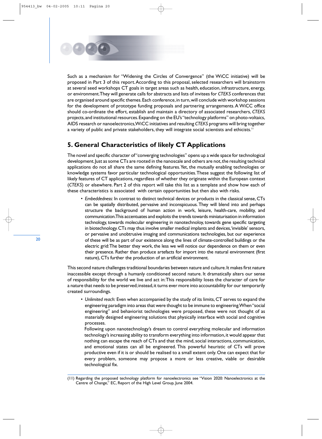Such as a mechanism for "Widening the Circles of Convergence" (the WiCC initiative) will be proposed in Part 3 of this report.According to this proposal, selected researchers will brainstorm at several seed workshops CT goals in target areas such as health, education, infrastructure, energy, or environment.They will generate calls for abstracts and lists of invitees for *CTEKS* conferences that are organised around specific themes.Each conference,in turn,will conclude with workshop sessions for the development of prototype funding proposals and partnering arrangements.A WiCC office should co-ordinate the effort, establish and maintain a directory of associated researchers, *CTEKS* projects,and institutional resources.Expanding on the EU's "technology platforms" on photo-voltaics, AIDS research or nanoelectronics,WiCC initiatives and resulting *CTEKS* programs will bring together a variety of public and private stakeholders, they will integrate social scientists and ethicists.<sup>11</sup>

# **5. General Characteristics of likely CT Applications**

The novel and specific character of "converging technologies" opens up a wide space for technological development. Just as some CTs are rooted in the nanoscale and others are not, the resulting technical applications do not all share the same defining features.Yet, the mutually enabling technologies or knowledge systems favor particular technological opportunities.These suggest the following list of likely features of CT applications, regardless of whether they originate within the European context (*CTEKS*) or elsewhere. Part 2 of this report will take this list as a template and show how each of these characteristics is associated with certain opportunities but then also with risks.

• *Embeddedness:* In contrast to distinct technical devices or products in the classical sense, CTs can be spatially distributed, pervasive and inconspicuous. They will blend into and perhaps structure the background of human action in work, leisure, health-care, mobility, and communication.This accentuates and exploits the trends towards miniaturisation in information technology, towards molecular engineering in nanotechnoloy, towards gene specific targeting in biotechnology.CTs may thus involve smaller medical implants and devices,'invisible' sensors, or pervasive and unobtrusive imaging and communications technologies, but our experience of these will be as part of our existence along the lines of climate-controlled buildings or the electric grid:The better they work, the less we will notice our dependence on them or even their presence. Rather than produce artefacts for import into the natural environment (first nature), CTs further the production of an artificial environment.

This second nature challenges traditional boundaries between nature and culture.It makes first nature inaccessible except through a humanly conditioned second nature. It dramatically alters our sense of responsibility for the world we live and act in:This responsibility loses the character of care for a nature that needs to be preserved;instead,it turns ever more into accountability for our temporarily created surroundings.

• *Unlimited reach:* Even when accompanied by the study of its limits, CT serves to expand the engineering paradigm into areas that were thought to be immune to engineering.When "social engineering" and behaviorist technologies were proposed, these were not thought of as materially designed engineering solutions that physically interface with social and cognitive processes.

Following upon nanotechnology's dream to control everything molecular and information technology's increasing ability to transform everything into information,it would appear that nothing can escape the reach of CTs and that the mind, social interactions, communication, and emotional states can all be engineered. This powerful heuristic of CTs will prove productive even if it is or should be realised to a small extent only. One can expect that for every problem, someone may propose a more or less creative, viable or desirable technological fix.

<sup>(11)</sup> Regarding the proposed technology platform for nanoelectronics see "Vision 2020: Nanoelectronics at the Centre of Change," EC, Report of the High Level Group, June 2004.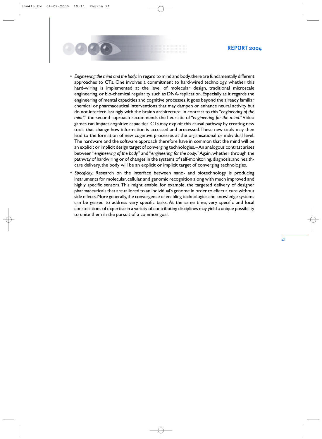• *Engineering the mind and the body:* In regard to mind and body,there are fundamentally different approaches to CTs. One involves a commitment to hard-wired technology, whether this hard-wiring is implemented at the level of molecular design, traditional microscale engineering, or bio-chemical regularity such as DNA-replication. Especially as it regards the engineering of mental capacities and cognitive processes,it goes beyond the already familiar chemical or pharmaceutical interventions that may dampen or enhance neural activity but do not interfere lastingly with the brain's architecture. In contrast to this "*engineering of the mind*," the second approach recommends the heuristic of "*engineering for the mind*." Video games can impact cognitive capacities.CTs may exploit this causal pathway by creating new tools that change how information is accessed and processed.These new tools may then lead to the formation of new cognitive processes at the organisational or individual level. The hardware and the software approach therefore have in common that the mind will be an explicit or implicit design target of converging technologies.– An analogous contrast arises between "*engineering of the body*" and "*engineering for the body*." Again, whether through the pathway of hardwiring or of changes in the systems of self-monitoring, diagnosis, and healthcare delivery, the body will be an explicit or implicit target of converging technologies.

954413\_bw 04-02-2005 10:11 Pagina 21

• *Specificity:* Research on the interface between nano- and biotechnology is producing instruments for molecular, cellular, and genomic recognition along with much improved and highly specific sensors. This might enable, for example, the targeted delivery of designer pharmaceuticals that are tailored to an individual's genome in order to effect a cure without side effects.More generally,the convergence of enabling technologies and knowledge systems can be geared to address very specific tasks. At the same time, very specific and local constellations of expertise in a variety of contributing disciplines may yield a unique possibility to unite them in the pursuit of a common goal.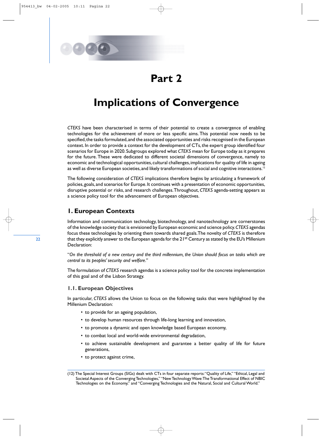# **Part 2**

# **Implications of Convergence**

*CTEKS* have been characterised in terms of their potential to create a convergence of enabling technologies for the achievement of more or less specific aims. This potential now needs to be specified, the tasks formulated, and the associated opportunities and risks recognised in the European context.In order to provide a context for the development of CTs,the expert group identified four scenarios for Europe in 2020.Subgroups explored what *CTEKS* mean for Europe today as it prepares for the future. These were dedicated to different societal dimensions of convergence, namely to economic and technological opportunities, cultural challenges, implications for quality of life in ageing as well as diverse European societies, and likely transformations of social and cognitive interactions.<sup>12</sup>

The following consideration of *CTEKS* implications therefore begins by articulating a framework of policies,goals,and scenarios for Europe.It continues with a presentation of economic opportunities, disruptive potential or risks, and research challenges.Throughout, *CTEKS* agenda-setting appears as a science policy tool for the advancement of European objectives.

# **1. European Contexts**

22

Information and communication technology, biotechnology, and nanotechnology are cornerstones of the knowledge society that is envisioned by European economic and science policy.*CTEKS* agendas focus these technologies by orienting them towards shared goals.The novelty of *CTEKS* is therefore that they explicitly answer to the European agenda for the 21<sup>st</sup> Century as stated by the EU's Millenium Declaration:

"*On the threshold of a new century and the third millennium, the Union should focus on tasks which are central to its peoples' security and welfare."*

The formulation of *CTEKS* research agendas is a science policy tool for the concrete implementation of this goal and of the Lisbon Strategy.

## **1.1. European Objectives**

In particular, *CTEKS* allows the Union to focus on the following tasks that were highlighted by the Millenium Declaration:

- to provide for an ageing population,
- to develop human resources through life-long learning and innovation,
- to promote a dynamic and open knowledge based European economy,
- to combat local and world-wide environmental degradation,
- to achieve sustainable development and guarantee a better quality of life for future generations,
- to protect against crime,

<sup>(12)</sup> The Special Interest Groups (SIGs) dealt with CTs in four separate reports:"Quality of Life," "Ethical, Legal and Societal Aspects of the Converging Technologies," "New Technology Wave:The Transformational Effect of NBIC Technologies on the Economy," and "Converging Technologies and the Natural, Social and Cultural World."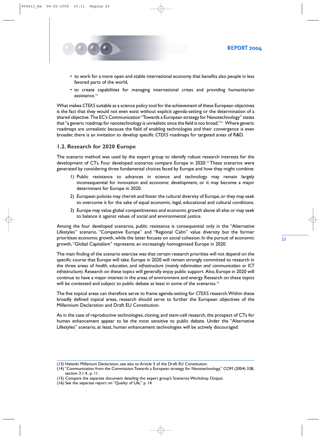- to work for a more open and stable international economy that benefits also people in less favored parts of the world,
- to create capabilities for managing international crises and providing humanitarian assistance.<sup>13</sup>

What makes *CTEKS* suitable as a science policy tool for the achievement of these European objectives is the fact that they would not even exist without explicit agenda-setting or the determination of a shared objective.The EC's Communication "Towards a European strategy for Nanotechnology" states that "a generic roadmap for nanotechnology is unrealistic since the field is too broad."<sup>14</sup> Where generic roadmaps are unrealistic because the field of enabling technologies and their convergence is even broader, there is an invitation to develop specific *CTEKS* roadmaps for targeted areas of R&D.

## **1.2. Research for 2020 Europe**

The scenario method was used by the expert group to identify robust research interests for the development of CTs. Four developed scenarios compare Europe in 2020.<sup>15</sup> These scenarios were generated by considering three fundamental choices faced by Europe and how they might combine:

- 1) Public resistance to advances in science and technology may remain largely inconsequential for innovation and economic development, or it may become a major determinant for Europe in 2020.
- 2) European policies may cherish and foster the cultural diversity of Europe,or they may seek to overcome it for the sake of equal economic, legal, educational and cultural conditions.
- 3) Europe may value global competitiveness and economic growth above all else or may seek to balance it against values of social and environmental justice.

Among the four developed scenarios, public resistance is consequential only in the "Alternative Lifestyles" scenario. "Competive Europe" and "Regional Calm" value diversity but the former prioritises economic growth, while the latter focuses on social cohesion. In the pursuit of economic growth,"Global Capitalism" represents an increasingly homogenised Europe in 2020.

The main finding of the scenario exercise was that certain research priorities will not depend on the specific course that Europe will take. Europe in 2020 will remain strongly committed to research in the three areas of *health, education*, and *infrastructure (mainly information and communication or ICT* infrastructure). Research on these topics will generally enjoy public support. Also, Europe in 2020 will continue to have a major interest in the areas of environment and energy. Research on these topics will be contested and subject to public debate at least in some of the scenarios.<sup>16</sup>

The five topical areas can therefore serve to frame agenda-setting for *CTEKS* research.Within these broadly defined topical areas, research should serve to further the European objectives of the Millennium Declaration and Draft EU Constitution.

As in the case of reproductive technologies, cloning, and stem-cell research, the prospect of CTs for human enhancement appear to be the most sensitive to public debate. Under the "Alternative Lifestyles" scenario, at least, human enhancement technologies will be actively discouraged.

(15) Compare the separate document detailing the expert group's Scenarios Workshop Output.

<sup>(13)</sup> Helsinki Millenium Declaration, see also to Article 3 of the Draft EU Constitution.

<sup>(14) &</sup>quot;Communication from the Commission:Towards a European strategy for Nanotechnology," COM (2004) 338, section 3.1.4., p. 11.

<sup>(16)</sup> See the separate report on "Quality of Life," p. 14.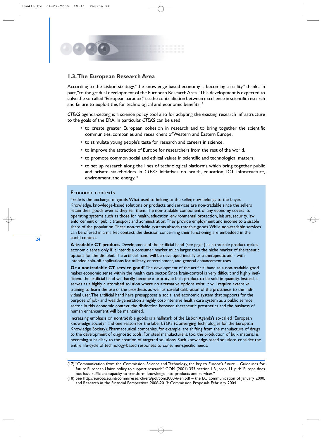

### **1.3.The European Research Area**

According to the Lisbon strategy,"the knowledge-based economy is becoming a reality" thanks, in part,"to the gradual development of the European Research Area." This development is expected to solve the so-called "European paradox," i.e.the contradiction between excellence in scientific research and failure to exploit this for technological and economic benefits.<sup>17</sup>

*CTEKS* agenda-setting is a science policy tool also for adapting the existing research infrastructure to the goals of the ERA. In particular, *CTEKS* can be used

- to create greater European cohesion in research and to bring together the scientific communities, companies and researchers of Western and Eastern Europe,
- to stimulate young people's taste for research and careers in science,
- to improve the attraction of Europe for researchers from the rest of the world,
- to promote common social and ethical values in scientific and technological matters,
- to set up research along the lines of technological platforms which bring together public and private stakeholders in *CTEKS* initiatives on health, education, ICT infrastructure, environment, and energy.<sup>18</sup>

## Economic contexts

Trade is the exchange of goods.What used to belong to the seller, now belongs to the buyer. Knowledge, knowledge-based solutions or products, and services are non-tradable since the sellers retain their goods even as they sell them.The non-tradable component of any economy covers its operating systems such as those for health, education, environmental protection, leisure, security, law enforcement or public transport and administration.They provide employment and income to a sisable share of the population.These non-tradable systems absorb tradable goods.While non-tradable services can be offered in a market context, the decision concerning their functioning are embedded in the social context.

**A tradable CT product.** Development of the artificial hand (see page ) as a tradable product makes economic sense only if it intends a consumer market much larger than the niche market of therapeutic options for the disabled.The artificial hand will be developed initially as a therapeutic aid - with intended spin-off applications for military, entertainment, and general enhancement uses.

**Or a nontradable CT service good?** The development of the artificial hand as a non-tradable good makes economic sense within the health care sector. Since brain-control is very difficult and highly inefficient, the artificial hand will hardly become a prototype bulk product to be sold in quantity. Instead, it serves as a highly customised solution where no alternative options exist. It will require extensive training to learn the use of the prosthesis as well as careful calibration of the prosthesis to the individual user.The artificial hand here presupposes a social and economic system that supports for the purpose of job- and wealth-generation a highly cost-intensive health care system as a public service sector. In this economic context, the distinction between therapeutic prosthetics and the business of human enhancement will be maintained.

Increasing emphasis on nontradable goods is a hallmark of the Lisbon Agenda's so-called "European knowledge society" and one reason for the label *CTEKS* (Converging Technologies for the European Knowledge Society). Pharmaceutical companies, for example, are shifting from the manufacture of drugs to the development of diagnostic tools. For steel manufacturers, too, the production of bulk material is becoming subsidiary to the creation of targeted solutions. Such knowledge-based solutions consider the entire life-cycle of technology-based responses to consumer-specific needs.

<sup>(17) &</sup>quot;Communication from the Commission: Science and Technology, the key to Europe's future – Guidelines for future European Union policy to support research" COM (2004) 353, section 1.3., prop. 11, p. 4:"Europe does not have sufficient capacity to transform knowledge into products and services."

<sup>(18)</sup> See http://europa.eu.int/comm/research/era/pdf/com2000-6-en.pdf – the EC communication of January 2000, and Research in the Financial Perspectives 2006-2013: Commission Proposals February 2004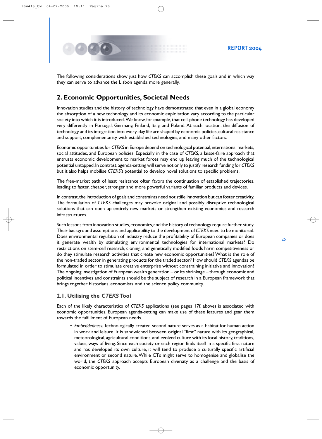The following considerations show just how *CTEKS* can accomplish these goals and in which way they can serve to advance the Lisbon agenda more generally.

# **2. Economic Opportunities, Societal Needs**

Innovation studies and the history of technology have demonstrated that even in a global economy the absorption of a new technology and its economic exploitation vary according to the particular society into which it is introduced. We know, for example, that cell-phone technology has developed very differently in Portugal, Germany, Finland, Italy, and Poland. At each location, the diffusion of technology and its integration into every-day life are shaped by economic policies,cultural resistance and support, complementarity with established technologies, and many other factors.

Economic opportunities for *CTEKS* in Europe depend on technological potential,international markets, social attitudes, and European policies. Especially in the case of *CTEKS*, a laisse-faire approach that entrusts economic development to market forces may end up leaving much of the technological potential untapped.In contrast,agenda-setting will serve not only to justify research funding for *CTEKS* but it also helps mobilise *CTEKS's* potential to develop novel solutions to specific problems.

The free-market path of least resistance often favors the continuation of established trajectories, leading to faster, cheaper, stronger and more powerful variants of familiar products and devices.

In contrast, the introduction of goals and constraints need not stifle innovation but can foster creativity. The formulation of *CTEKS* challenges may provoke original and possibly disruptive technological solutions that can open up entirely new markets or strengthen existing economies and research infrastructures.

Such lessons from innovation studies,economics,and the history of technology require further study. Their background assumptions and applicability to the development of *CTEKS* need to be monitored. Does environmental regulation of industry reduce the profitability of European companies or does it generate wealth by stimulating environmental technologies for international markets? Do restrictions on stem-cell research, cloning, and genetically modified foods harm competitiveness or do they stimulate research activities that create new economic opportunities? What is the role of the non-traded sector in generating products for the traded sector? How should *CTEKS* agendas be formulated in order to stimulate creative enterprise without constraining initiative and innovation? The ongoing investigation of European wealth generation – or its shrinkage – through economic and political incentives and constraints should be the subject of research in a European framework that brings together historians, economists, and the science policy community.

## **2.1. Utilising the** *CTEKS* **Tool**

Each of the likely characteristics of *CTEKS* applications (see pages 17f. above) is associated with economic opportunities. European agenda-setting can make use of these features and gear them towards the fulfillment of European needs.

• *Embeddedness:* Technologically created second nature serves as a habitat for human action in work and leisure. It is sandwiched between original "first" nature with its geographical, meteorological, agricultural conditions, and evolved culture with its local history, traditions, values, ways of living. Since each society or each region finds itself in a specific first nature and has developed its own culture, it will tend to produce a culturally specific artificial environment or second nature.While CTs might serve to homogenise and globalise the world, the *CTEKS* approach accepts European diversity as a challenge and the basis of economic opportunity.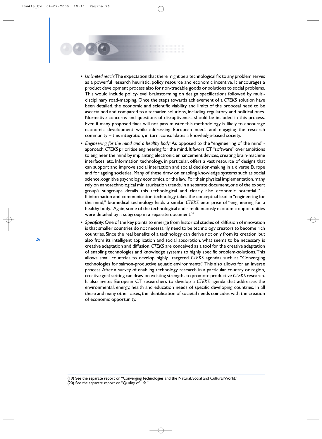- *Unlimited reach:*The expectation that there might be a technological fix to any problem serves as a powerful research heuristic, policy resource and economic incentive. It encourages a product development process also for non-tradable goods or solutions to social problems. This would include policy-level brainstorming on design specifications followed by multidisciplinary road-mapping. Once the steps towards achievement of a *CTEKS* solution have been detailed, the economic and scientific viability and limits of the proposal need to be ascertained and compared to alternative solutions, including regulatory and political ones. Normative concerns and questions of disruptiveness should be included in this process. Even if many proposed fixes will not pass muster, this methodology is likely to encourage economic development while addressing European needs and engaging the research community – this integration, in turn, consolidates a knowledge-based society.
- *Engineering for the mind and a healthy body:* As opposed to the "engineering of the mind" approach,*CTEKS* prioritise engineering for the mind.It favors CT "software" over ambitions to engineer the mind by implanting electronic enhancement devices, creating brain-machine interfaces, etc. Information technology, in particular, offers a vast resource of designs that can support and improve social interaction and social decision-making in a diverse Europe and for ageing societies. Many of these draw on enabling knowledge systems such as social science, cognitive psychology, economics, or the law. For their physical implementation, many rely on nanotechnological miniaturisation trends.In a separate document,one of the expert group's subgroups details this technological and clearly also economic potential.<sup>19</sup>  $-$ If information and communication technology takes the conceptual lead in "engineering for the mind," biomedical technology leads a similar *CTEKS* enterprise of "engineering for a healthy body." Again,some of the technological and simultaneously economic opportunities were detailed by a subgroup in a separate document.<sup>20</sup>
- *Specificity*:One of the key points to emerge from historical studies of diffusion of innovation is that smaller countries do not necessarily need to be technology creators to become rich countries. Since the real benefits of a technology can derive not only from its creation, but also from its intelligent application and social absorption, what seems to be necessary is creative adaptation and diffusion. *CTEKS* are conceived as a tool for the creative adaptation of enabling technologies and knowledge systems to highly specific problem-solutions.This allows small countries to develop highly targeted *CTEKS* agendas such as "Converging technologies for salmon-productive aquatic environments." This also allows for an inverse process.After a survey of enabling technology research in a particular country or region, creative goal-setting can draw on existing strengths to promote productive *CTEKS* research. It also invites European CT researchers to develop a *CTEKS* agenda that addresses the environmental, energy, health and education needs of specific developing countries. In all these and many other cases, the identification of societal needs coincides with the creation of economic opportunity.

(19) See the separate report on "Converging Technologies and the Natural, Social and Cultural World."

(20) See the separate report on "Quality of Life."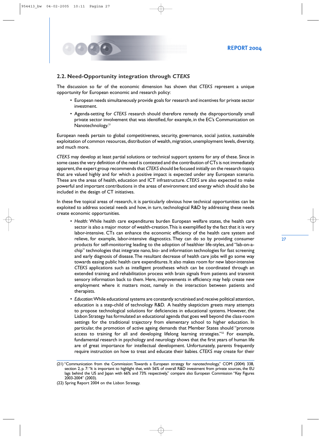## **2.2. Need-Opportunity integration through** *CTEKS*

The discussion so far of the economic dimension has shown that *CTEKS* represent a unique opportunity for European economic and research policy:

- European needs simultaneously provide goals for research and incentives for private sector investment.
- Agenda-setting for *CTEKS* research should therefore remedy the disproportionally small private sector involvement that was identified, for example, in the EC's Communication on Nanotechnology.<sup>21</sup>

European needs pertain to global competitiveness, security, governance, social justice, sustainable exploitation of common resources, distribution of wealth, migration, unemployment levels, diversity, and much more.

*CTEKS* may develop at least partial solutions or technical support systems for any of these. Since in some cases the very definition of the need is contested and the contribution of CTs is not immediately apparent, the expert group recommends that *CTEKS* should be focused initially on the research topics that are valued highly and for which a positive impact is expected under any European scenario. These are the areas of health, education and ICT infrastructure. *CTEKS* are also expected to make powerful and important contributions in the areas of environment and energy which should also be included in the design of CT initiatives.

In these five topical areas of research, it is particularly obvious how technical opportunities can be exploited to address societal needs and how, in turn, technological R&D by addressing these needs create economic opportunities.

- *Health:* While health care expenditures burden European welfare states, the health care sector is also a major motor of wealth-creation.This is exemplified by the fact that it is very labor-intensive. CTs can enhance the economic efficiency of the health care system and relieve, for example, labor-intensive diagnostics. They can do so by providing consumer products for self-monitoring leading to the adoption of healthier life-styles, and "lab-on-achip" technologies that integrate nano,bio- and information technologies for fast screening and early diagnosis of disease.The resultant decrease of health care jobs will go some way towards easing public health care expenditures. It also makes room for new labor-intensive *CTEKS* applications such as intelligent prostheses which can be coordinated through an extended training and rehabilitation process with brain signals from patients and transmit sensory information back to them. Here, improvements in efficiency may help create new employment where it matters most, namely in the interaction between patients and therapists.
- *Education:*While educational systems are constantly scrutinised and receive political attention, education is a step-child of technology R&D. A healthy skepticism greets many attempts to propose technological solutions for deficiencies in educational systems. However, the Lisbon Strategy has formulated an educational agenda that goes well beyond the class-room settings for the traditional trajectory from elementary school to higher education. In particular, the promotion of active ageing demands that Member States should "promote access to training for all and developing lifelong learning strategies."<sup>22</sup> For example, fundamental research in psychology and neurology shows that the first years of human life are of great importance for intellectual development. Unfortunately, parents frequently require instruction on how to treat and educate their babies. *CTEKS* may create for their

<sup>(21) &</sup>quot;Communication from the Commission: Towards a European strategy for nanotechnology," COM (2004) 338, section 2, p. 7:"It is important to highlight that, with 56% of overall R&D investment from private sources, the EU lags behind the US and Japan with 66% and 73% respectively," compare also European Commission "Key Figures 2003-2004" (2003).

<sup>(22)</sup> Spring Report 2004 on the Lisbon Strategy.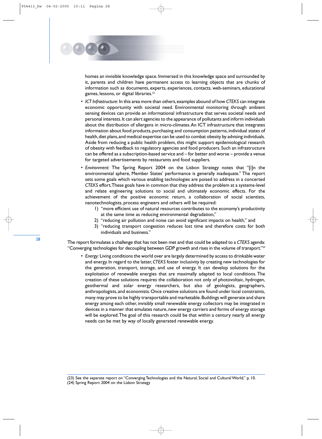homes an invisible knowledge space. Immersed in this knowledge space and surrounded by it, parents and children have permanent access to learning objects that are chunks of information such as documents, experts, experiences, contacts, web-seminars, educational games, lessons, or digital libraries.<sup>23</sup>

- *ICT Infrastructure:* In this area more than others,examples abound of how *CTEKS* can integrate economic opportunity with societal need. Environmental monitoring through ambient sensing devices can provide an informational infrastructure that serves societal needs and personal interests.It can alert agencies to the appearance of pollutants and inform individuals about the distribution of allergens in micro-climates.An ICT infrastructure that integrates information about food products, purchasing and consumption patterns, individual states of health,diet plans,and medical expertise can be used to combat obesity by advising individuals. Aside from reducing a public health problem, this might support epidemiological research of obesity with feedback to regulatory agencies and food producers.Such an infrastructure can be offered as a subscription-based service and – for better and worse – provide a venue for targeted advertisements by restaurants and food suppliers.
- *Environment:* The Spring Report 2004 on the Lisbon Strategy notes that "[i]n the environmental sphere, Member States' performance is generally inadequate." The report sets some goals which various enabling technologies are poised to address in a concerted *CTEKS* effort.These goals have in common that they address the problem at a systems-level and relate engineering solutions to social and ultimately economic effects. For the achievement of the positive economic return, a collaboration of social scientists, nanotechnologists, process engineers and others will be required:
	- 1) "more efficient use of natural resources contributes to the economy's productivity at the same time as reducing environmental degradation,"
	- 2) "reducing air pollution and noise can avoid significant impacts on health," and
	- 3) "reducing transport congestion reduces lost time and therefore costs for both individuals and business."

The report formulates a challenge that has not been met and that could be adapted to a *CTEKS* agenda: "Converging technologies for decoupling between GDP growth and rises in the volume of transport."<sup>24</sup>

*• Energy:* Living conditions the world over are largely determined by access to drinkable water and energy.In regard to the latter,*CTEKS* foster inclusivity by creating new technologies for the generation, transport, storage, and use of energy. It can develop solutions for the exploitation of renewable energies that are maximally adapted to local conditions. The creation of these solutions requires the collaboration not only of photovoltaic, hydrogen, geothermal and solar energy researchers, but also of geologists, geographers, anthropologists,and economists.Once creative solutions are found under local constraints, many may prove to be highly transportable and marketable.Buildings will generate and share energy among each other, invisibly small renewable energy collectors may be integrated in devices in a manner that emulates nature, new energy carriers and forms of energy storage will be explored.The goal of this research could be that within a century nearly all energy needs can be met by way of locally generated renewable energy.

(23) See the separate report on "Converging Technologies and the Natural, Social and Cultural World," p. 10.

(24) Spring Report 2004 on the Lisbon Strategy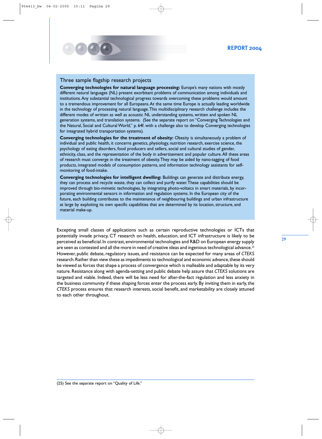### Three sample flagship research projects

**Converging technologies for natural language processing:** Europe's many nations with mostly different natural languages (NL) present exorbitant problems of communication among individuals and institutions.Any substantial technological progress towards overcoming these problems would amount to a tremendous improvement for all Europeans.At the same time Europe is actually leading worldwide in the technology of processing natural language.This multidisciplinary research challenge includes the different modes of written as well as acoustic NL understanding systems, written and spoken NL generation systems, and translation systems. (See the separate report on "Converging Technologies and the Natural, Social and Cultural World," p. 64f. with a challenge also to develop Converging technologies for integrated hybrid transportation systems).

**Converging technologies for the treatment of obesity:** Obesity is simultaneously a problem of individual and public health, it concerns genetics, physiology, nutrition research, exercise science, the psychology of eating disorders, food producers and sellers, social and cultural studies of gender, ethnicity, class, and the representation of the body in advertisement and popular culture.All these areas of research must converge in the treatment of obesity.They may be aided by nano-tagging of food products, integrated models of consumption patterns, and information technology assistants for selfmonitoring of food-intake.

**Converging technologies for intelligent dwelling:** Buildings can generate and distribute energy, they can process and recycle waste, they can collect and purify water.These capabilities should be improved through bio-mimetic technologies, by integrating photo-voltaics in smart materials, by incorporating environmental sensors in information and regulation systems. In the European city of the future, each building contributes to the maintenance of neighbouring buildings and urban infrastructure at large by exploiting its own specific capabilities that are determined by its location, structure, and material make-up.

Excepting small classes of applications such as certain reproductive technologies or ICTs that potentially invade privacy, CT research on health, education, and ICT infrastructure is likely to be perceived as beneficial.In contrast,environmental technologies and R&D on European energy supply are seen as contested and all the more in need of creative ideas and ingenious technological advance.<sup>25</sup> However, public debate, regulatory issues, and resistance can be expected for many areas of *CTEKS* research.Rather than view these as impediments to technological and economic advance,these should be viewed as forces that shape a process of convergence which is malleable and adaptable by its very nature. Resistance along with agenda-setting and public debate help assure that *CTEKS* solutions are targeted and viable. Indeed, there will be less need for after-the-fact regulation and less anxiety in the business community if these shaping forces enter the process early. By inviting them in early, the *CTEKS* process ensures that research interests, social benefit, and marketability are closely attuned to each other throughout.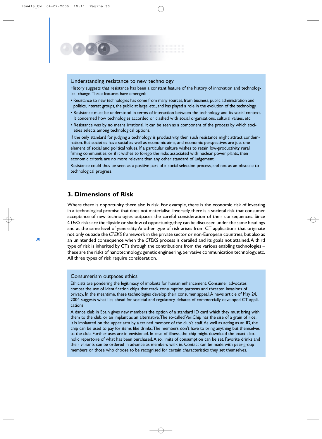#### Understanding resistance to new technology

History suggests that resistance has been a constant feature of the history of innovation and technological change.Three features have emerged:

- Resistance to new technologies has come from many sources, from business, public administration and politics, interest groups, the public at large, etc., and has played a role in the evolution of the technology.
- Resistance must be understood in terms of interaction between the technology and its social context. It concerned how technologies accorded or clashed with social organisations, cultural values, etc.
- Resistance was by no means irrational. It can be seen as a component of the process by which societies selects among technological options.

If the only standard for judging a technology is productivity, then such resistance might attract condemnation. But societies have social as well as economic aims, and economic perspectives are just one element of social and political values. If a particular culture wishes to retain low-productivity rural fishing communities, or if it wishes to forego the risks associated with nuclear power plants, then economic criteria are no more relevant than any other standard of judgement.

Resistance could thus be seen as a positive part of a social selection process, and not as an obstacle to technological progress.

# **3. Dimensions of Risk**

Where there is opportunity, there also is risk. For example, there is the economic risk of investing in a technological promise that does not materialise. Inversely, there is a societal risk that consumer acceptance of new technologies outpaces the careful consideration of their consequences. Since *CTEKS* risks are the flipside or shadow of opportunity,they can be discussed under the same headings and at the same level of generality.Another type of risk arises from CT applications that originate not only outside the *CTEKS* framework in the private sector or non-European countries, but also as an unintended consequence when the *CTEKS* process is derailed and its goals not attained.A third type of risk is inherited by CTs through the contributions from the various enabling technologies – these are the risks of nanotechnology, genetic engineering, pervasive communication technology, etc. All three types of risk require consideration.

### Consumerism outpaces ethics

Ethicists are pondering the legitimacy of implants for human enhancement. Consumer advocates combat the use of identification chips that track consumption patterns and threaten invasions of privacy. In the meantime, these technologies develop their consumer appeal.A news article of May 24, 2004 suggests what lies ahead for societal and regulatory debates of commercially developed CT applications:

A dance club in Spain gives new members the option of a standard ID card which they must bring with them to the club, or an implant as an alternative.The so-called VeriChip has the sise of a grain of rice. It is implanted on the upper arm by a trained member of the club's staff.As well as acting as an ID, the chip can be used to pay for items like drinks:The members don't have to bring anything but themselves to the club. Further uses are in envisioned. In case of illness, the chip might download the exact alcoholic repertoire of what has been purchased.Also, limits of consumption can be set. Favorite drinks and their variants can be ordered in advance as members walk in. Contact can be made with peer-group members or those who choose to be recognised for certain characteristics they set themselves.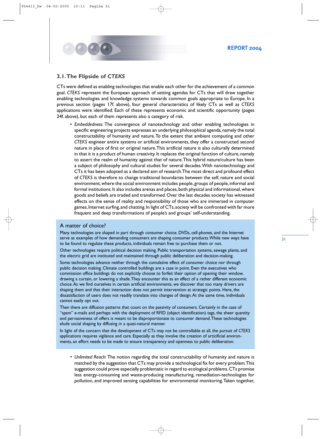## **3.1.The Flipside of** *CTEKS*

CTs were defined as enabling technologies that enable each other for the achievement of a common goal. *CTEKS* represent the European approach of setting agendas for CTs that will draw together enabling technologies and knowledge systems towards common goals appropriate to Europe. In a previous section (pages 17f. above), four general characteristics of likely CTs as well as *CTEKS* applications were identified. Each of these represents economic and scientific opportunity (pages 24f. above), but each of them represents also a category of risk.

• *Embeddedness*: The convergence of nanotechnology and other enabling technologies in specific engineering projects expresses an underlying philosophical agenda, namely the total constructability of humanity and nature.To the extent that ambient computing and other *CTEKS* engineer entire systems or artificial environments, they offer a constructed second nature in place of first or original nature.This artificial nature is also culturally determined in that it is a product of human creativity. It replaces the original function of culture, namely to assert the realm of humanity against that of nature.This hybrid nature/culture has been a subject of philosophy and cultural studies for several decades.With nanotechnology and CTs it has been adopted as a declared aim of research.The most direct and profound effect of *CTEKS* is therefore to change traditional boundaries between the self, nature and social environment, where the social environment includes people, groups of people, informal and formal institutions. It also includes arenas and places, both physical and informational, where goods and beliefs are traded and transformed. Over the last decades society has witnessed effects on the sense of reality and responsibility of those who are immersed in computer games, Internet surfing, and chatting. In light of CTs, society will be confronted with far more frequent and deep transformations of people's and groups' self-understanding.

### A matter of choice?

Many technologies are shaped in part through consumer choice. DVDs, cell-phones, and the Internet serve as examples of how demanding consumers are shaping consumer products.While new ways have to be found to regulate these products, individuals remain free to purchase them or not.

Other technologies require political decision making. Public transportation systems, sewage plants, and the electric grid are instituted and maintained through public deliberation and decision-making.

Some technologies advance neither through the cumulative effect of consumer choice nor through public decision making. Climate controlled buildings are a case in point. Even the executives who commission office buildings do not explicitly choose to forfeit their option of opening their window, drawing a curtain, or lowering a shade.They encounter this as an effect of a rather different economic choice.As we find ourselves in certain artificial environments, we discover that too many drivers are shaping them and that their interaction does not permit intervention at strategic points. Here, the dissatisfaction of users does not readily translate into changes of design.At the same time, individuals cannot easily opt out.

Then there are diffusion patterns that count on the passivity of consumers. Certainly in the case of "spam" e-mails and perhaps with the deployment of RFID (object identification) tags, the sheer quantity and pervasiveness of offers is meant to be disproportionate to consumer demand.These technologies elude social shaping by diffusing in a quasi-natural manner.

In light of the concern that the development of CTs may not be controllable at all, the pursuit of *CTEKS* applications requires vigilance and care. Especially as they involve the creation of articificial environments, an effort needs to be made to ensure transparency and openness to public deliberation.

*• Unlimited Reach:* The notion regarding the total constructability of humanity and nature is matched by the suggestion that CTs may provide a technological fix for every problem.This suggestion could prove especially problematic in regard to ecological problems.CTs promise less energy-consuming and waste-producing manufacturing, remediation-technologies for pollution, and improved sensing capabilities for environmental monitoring.Taken together,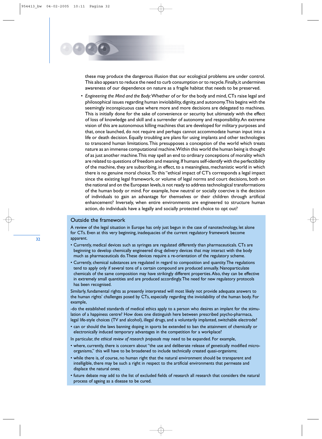these may produce the dangerous illusion that our ecological problems are under control. This also appears to reduce the need to curb consumption or to recycle. Finally, it undermines awareness of our dependence on nature as a fragile habitat that needs to be preserved.

*• Engineering the Mind and the Body:*Whether of or for the body and mind,CTs raise legal and philosophical issues regarding human inviolability,dignity,and autonomy.This begins with the seemingly inconspicuous case where more and more decisions are delegated to machines. This is initially done for the sake of convenience or security but ultimately with the effect of loss of knowledge and skill and a surrender of autonomy and responsibility.An extreme vision of this are autonomous killing machines that are developed for military purposes and that, once launched, do not require and perhaps cannot accommodate human input into a life or death decision. Equally troubling are plans for using implants and other technologies to transcend human limitations.This presupposes a conception of the world which treats nature as an immense computational machine.Within this world the human being is thought of as just another machine.This may spell an end to ordinary conceptions of morality which are related to questions of freedom and meaning.If humans self-identify with the perfectibility of the machine, they are subscribing, in effect, to a meaningless, mechanistic world in which there is no genuine moral choice.To this "ethical impact of CT's corresponds a legal impact since the existing legal framework, or volume of legal norms and court decisions, both on the national and on the European levels,is not ready to address technological transformations of the human body or mind. For example, how neutral or socially coercive is the decision of individuals to gain an advantage for themselves or their children through artificial enhancement? Inversely, when entire environments are engineered to structure human action, do individuals have a legally and socially protected choice to opt out?

#### Outside the framework

A review of the legal situation in Europe has only just begun in the case of nanotechnology, let alone for CTs. Even at this very beginning, inadequacies of the current regulatory framework become apparent.

- Currently, medical devices such as syringes are regulated differently than pharmaceuticals. CTs are beginning to develop chemically engineered drug delivery devices that may interact with the body much as pharmaceuticals do.These devices require a re-orientation of the regulatory scheme.
- Currently, chemical substances are regulated in regard to composition and quantity.The regulations tend to apply only if several tons of a certain compound are produced annually. Nanoparticulate chemicals of the same composition may have strikingly different properties.Also, they can be effective in extremely small quantities and are produced accordingly.The need for new regulatory protocols has been recognised.

Similarly, fundamental rights as presently interpreted will most likely not provide adequate answers to the human rights' challenges posed by CTs, especially regarding the inviolability of the human body. For example,

-do the established standards of medical ethics apply to a person who desires an implant for the stimulation of a happiness centre? How does one distinguish here between prescribed psycho-pharmaca, legal life-style choices (TV and alcohol), illegal drugs, and a voluntarily implanted, switchable electrode?

• can or should the laws banning doping in sports be extended to ban the attainment of chemically or electronically induced temporary advantages in the competition for a workplace?

In particular, *the ethical review of research proposals* may need to be expanded. For example,

- where, currently, there is concern about "the use and deliberate release of genetically modified microorganisms," this will have to be broadened to include technically created quasi-organisms;
- while there is, of course, no human right that the natural environment should be transparent and intelligible, there may be such a right in respect to the artificial environments that permeate and displace the natural ones;
- future debate may add to the list of excluded fields of research all research that considers the natural process of ageing as a disease to be cured.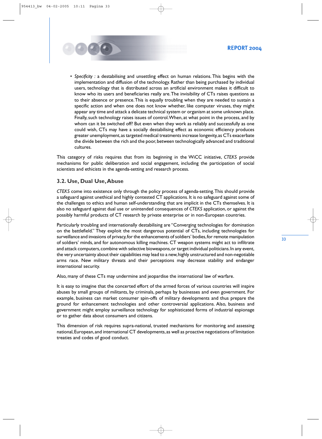*• Specificity :* a destabilising and unsettling effect on human relations. This begins with the implementation and diffusion of the technology. Rather than being purchased by individual users, technology that is distributed across an artificial environment makes it difficult to know who its users and beneficiaries really are.The invisibility of CTs raises questions as to their absence or presence.This is equally troubling when they are needed to sustain a specific action and when one does not know whether, like computer viruses, they might appear any time and attack a delicate technical system or organism at some unknown place. Finally, such technology raises issues of control.When, at what point in the process, and by whom can it be switched off? But even when they work as reliably and successfully as one could wish, CTs may have a socially destabilising effect as economic efficiency produces greater unemployment,as targeted medical treatments increase longevity,as CTs exacerbate the divide between the rich and the poor, between technologically advanced and traditional cultures.

This category of risks requires that from its beginning in the WiCC initiative, *CTEKS* provide mechanisms for public deliberation and social engagement, including the participation of social scientists and ethicists in the agenda-setting and research process.

### **3.2. Use, Dual Use,Abuse**

*CTEKS* come into existence only through the policy process of agenda-setting.This should provide a safeguard against unethical and highly contested CT applications. It is no safeguard against some of the challenges to ethics and human self-understanding that are implicit in the CTs themselves. It is also no safeguard against dual use or unintended consequences of *CTEKS* application, or against the possibly harmful products of CT research by private enterprise or in non-European countries.

Particularly troubling and internationally destabilising are "Converging technologies for domination on the battlefield." They exploit the most dangerous potential of CTs, including technologies for surveillance and invasions of privacy,for the enhancements of soldiers' bodies,for remote manipulation of soldiers' minds, and for autonomous killing machines. CT weapon systems might act to infiltrate and attack computers,combine with selective bioweapons,or target individual politicians.In any event, the very uncertainty about their capabilities may lead to a new,highly unstructured and non-negotiable arms race. New military threats and their perceptions may decrease stability and endanger international security.

Also, many of these CTs may undermine and jeopardise the international law of warfare.

It is easy to imagine that the concerted effort of the armed forces of various countries will inspire abuses by small groups of militants, by criminals, perhaps by businesses and even government. For example, business can market consumer spin-offs of military developments and thus prepare the ground for enhancement technologies and other controversial applications. Also, business and government might employ surveillance technology for sophisticated forms of industrial espionage or to gather data about consumers and citizens.

This dimension of risk requires supra-national, trusted mechanisms for monitoring and assessing national,European,and international CT developments,as well as proactive negotiations of limitation treaties and codes of good conduct.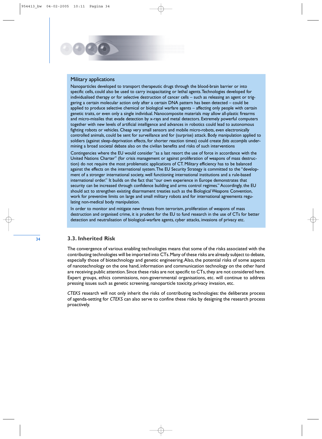## Military applications

Nanoparticles developed to transport therapeutic drugs through the blood-brain barrier or into specific cells, could also be used to carry incapacitating or lethal agents.Technologies developed for individualised therapy or for selective destruction of cancer cells – such as releasing an agent or triggering a certain molecular action only after a certain DNA pattern has been detected – could be applied to produce selective chemical or biological warfare agents – affecting only people with certain genetic traits, or even only a single individual. Nanocomposite materials may allow all-plastic firearms and micro-missiles that evade detection by x-rays and metal detectors. Extremely powerful computers together with new levels of artificial intelligence and advances in robotics could lead to autonomous fighting robots or vehicles. Cheap very small sensors and mobile micro-robots, even electronically controlled animals, could be sent for surveillance and for (surprise) attack. Body manipulation applied to soldiers (against sleep-deprivation effects, for shorter reaction times) could create *faits accomplis* undermining a broad societal debate also on the civilian benefits and risks of such interventions

Contingencies where the EU would consider "as a last resort the use of force in accordance with the United Nations Charter" (for crisis management or against proliferation of weapons of mass destruction) do not require the most problematic applications of CT. Military efficiency has to be balanced against the effects on the international system.The EU Security Strategy is committed to the "development of a stronger international society, well functioning international institutions and a rule-based international order." It builds on the fact that "our own experience in Europe demonstrates that security can be increased through confidence building and arms control regimes." Accordingly, the EU should act to strengthen existing disarmament treaties such as the Biological Weapons Convention, work for preventive limits on large and small military robots and for international agreements regulating non-medical body manipulation.

In order to monitor and mitigate new threats from terrorism, proliferation of weapons of mass destruction and organised crime, it is prudent for the EU to fund research in the use of CTs for better detection and neutralisation of biological-warfare agents, cyber attacks, invasions of privacy etc.

## **3.3. Inherited Risk**

The convergence of various enabling technologies means that some of the risks associated with the contributing technologies will be imported into CTs.Many of these risks are already subject to debate, especially those of biotechnology and genetic engineering.Also, the potential risks of some aspects of nanotechnology on the one hand, information and communication technology on the other hand are receiving public attention.Since these risks are not specific to CTs,they are not considered here. Expert groups, ethics commissions, non-governmental organisations, etc. will continue to address pressing issues such as genetic screening, nanoparticle toxicity, privacy invasion, etc.

*CTEKS* research will not only inherit the risks of contributing technologies: the deliberate process of agenda-setting for *CTEKS* can also serve to confine these risks by designing the research process proactively.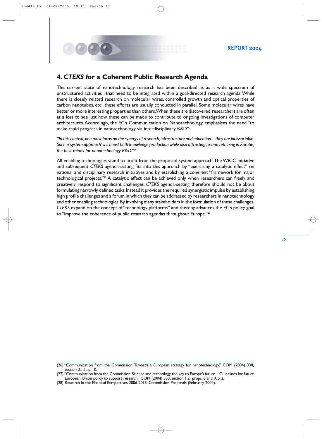# **4.** *CTEKS* **for a Coherent Public Research Agenda**

The current state of nanotechnology research has been described as as a wide spectrum of unstructured activities , that need to be integrated within a goal-directed research agenda.While there is closely related research on molecular wires, controlled growth and optical properties of carbon nanotubes, etc., these efforts are usually conducted in parallel. Some molecular wires have better or more interesting properties than others. When these are discovered, researchers are often at a loss to see just how these can be made to contribute to ongoing investigations of computer architectures.Accordingly, the EC's Communication on Nanotechnology emphasises the need "to make rapid progress in nanotechnology via interdisciplinary R&D":

*"In this context,one must focus on the synergy of research,infrastructure and education – they are indissociable. Such a 'system approach'will boost both knowledge production while also attracting to,and retaining in Europe, the best minds for nanotechnology R&D."<sup>26</sup>*

All enabling technologies stand to profit from the proposed system approach.The WiCC initiative and subsequent *CTEKS* agenda-setting fits into this approach by "exercising a catalytic effect" on national and disciplinary research initiatives and by establishing a coherent "framework for major technological projects."<sup>27</sup> A catalytic effect can be achieved only when researchers can freely and creatively respond to significant challenges. *CTEKS* agenda-setting therefore should not be about formulating narrowly defined tasks.Instead it provides the required synergistic impulse by establishing high profile challenges and a forum in which they can be addressed by researchers in nanotechnology and other enabling technologies.By involving many stakeholders in the formulation of these challenges, *CTEKS* expand on the concept of "technology platforms" and thereby advances the EC's policy goal to "improve the coherence of public research agendas throughout Europe."<sup>28</sup>

<sup>(26) &</sup>quot;Communication from the Commission: Towards a European strategy for nanotechnology," COM (2004) 338, section 3.1.1., p. 10.

<sup>&</sup>quot;Communication from the Commission: Science and technology, the key to Europe's future - Guidelines for future European Union policy to support research" COM (2004) 353, section 1.2., props. 6 and 9, p. 2.

<sup>(28)</sup> Research in the Financial Perspectives 2006-2013: Commission Proposals (February 2004).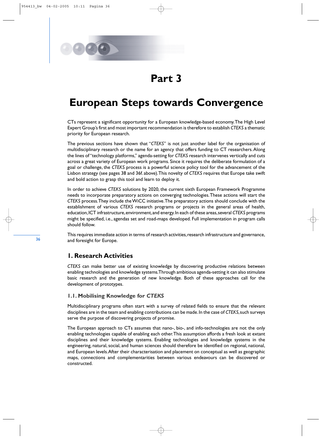# **Part 3**

# **European Steps towards Convergence**

CTs represent a significant opportunity for a European knowledge-based economy.The High Level Expert Group's first and most important recommendation is therefore to establish *CTEKS* a thematic priority for European research.

The previous sections have shown that "*CTEKS*" is not just another label for the organisation of multidisciplinary research or the name for an agency that offers funding to CT researchers.Along the lines of "technology platforms," agenda-setting for *CTEKS* research intervenes vertically and cuts across a great variety of European work programs. Since it requires the deliberate formulation of a goal or challenge, the *CTEKS* process is a powerful science policy tool for the advancement of the Lisbon strategy (see pages 38 and 36f. above).This novelty of *CTEKS* requires that Europe take swift and bold action to grasp this tool and learn to deploy it.

In order to achieve *CTEKS* solutions by 2020, the current sixth European Framework Programme needs to incorporate preparatory actions on converging technologies.These actions will start the *CTEKS* process.They include the WiCC initiative.The preparatory actions should conclude with the establishment of various *CTEKS* research programs or projects in the general areas of health, education,ICT infrastructure,environment,and energy.In each of these areas,several *CTEKS* programs might be specified, i.e., agendas set and road-maps developed. Full implementation in program calls should follow.

This requires immediate action in terms of research activities, research infrastructure and governance, and foresight for Europe.

# **1. Research Activities**

*CTEKS* can make better use of existing knowledge by discovering productive relations between enabling technologies and knowledge systems.Through ambitious agenda-setting it can also stimulate basic research and the generation of new knowledge. Both of these approaches call for the development of prototypes.

## **1.1. Mobilising Knowledge for** *CTEKS*

Multidisciplinary programs often start with a survey of related fields to ensure that the relevant disciplines are in the team and enabling contributions can be made. In the case of CTEKS, such surveys serve the purpose of discovering projects of promise.

The European approach to CTs assumes that nano-, bio-, and info-technologies are not the only enabling technologies capable of enabling each other.This assumption affords a fresh look at extant disciplines and their knowledge systems. Enabling technologies and knowledge systems in the engineering, natural, social, and human sciences should therefore be identified on regional, national, and European levels.After their characterisation and placement on conceptual as well as geographic maps, connections and complementarities between various endeavours can be discovered or constructed.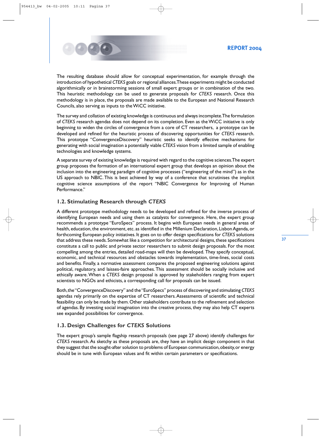The resulting database should allow for conceptual experimentation, for example through the introduction of hypothetical *CTEKS* goals or regional alliances.These experiments might be conducted algorithmically or in brainstorming sessions of small expert groups or in combination of the two. This heuristic methodology can be used to generate proposals for *CTEKS* research. Once this methodology is in place, the proposals are made available to the European and National Research Councils, also serving as inputs to the WiCC initiative.

The survey and collation of existing knowledge is continuous and always incomplete.The formulation of *CTEKS* research agendas does not depend on its completion. Even as the WiCC initiative is only beginning to widen the circles of convergence from a core of CT researchers, a prototype can be developed and refined for the heuristic process of discovering opportunities for *CTEKS* research. This prototype "ConvergenceDiscovery" heuristic seeks to identify effective mechanisms for generating with social imagination a potentially viable *CTEKS* vision from a limited sample of enabling technologies and knowledge systems.

A separate survey of existing knowledge is required with regard to the cognitive sciences.The expert group proposes the formation of an international expert group that develops an opinion about the inclusion into the engineering paradigm of cognitive processes ("engineering of the mind") as in the US approach to NBIC. This is best achieved by way of a conference that scrutinises the implicit cognitive science assumptions of the report "NBIC Convergence for Improving of Human Performance."

## **1.2. Stimulating Research through** *CTEKS*

A different prototype methodology needs to be developed and refined for the inverse process of identifying European needs and using them as catalysts for convergence. Here, the expert group recommends a prototype "EuroSpecs" process. It begins with European needs in general areas of health, education, the environment, etc. as identified in the Millenium Declaration, Lisbon Agenda, or forthcoming European policy initiatives. It goes on to offer design specifications for *CTEKS* solutions that address these needs. Somewhat like a competition for architectural designs, these specifications constitute a call to public and private sector researchers to submit design proposals. For the most compelling among the entries, detailed road-maps will then be developed. They specify conceptual, economic, and technical resources and obstacles towards implementation, time-lines, social costs and benefits. Finally, a normative assessment compares the proposed engineering solutions against political, regulatory, and laisses-faire approaches. This assessment should be socially inclusive and ethically aware.When a *CTEKS* design proposal is approved by stakeholders ranging from expert scientists to NGOs and ethicists, a corresponding call for proposals can be issued.

Both,the "ConvergenceDiscovery" and the "EuroSpecs" process of discovering and stimulating *CTEKS* agendas rely primarily on the expertise of CT researchers.Assessments of scientific and technical feasibility can only be made by them.Other stakeholders contribute to the refinement and selection of agendas. By investing social imagination into the creative process, they may also help CT experts see expanded possibilities for convergence.

## **1.3. Design Challenges for** *CTEKS* **Solutions**

The expert group's sample flagship research proposals (see page 27 above) identify challenges for *CTEKS* research. As sketchy as these proposals are, they have an implicit design component in that they suggest that the sought-after solution to problems of European communication,obesity,or energy should be in tune with European values and fit within certain parameters or specifications.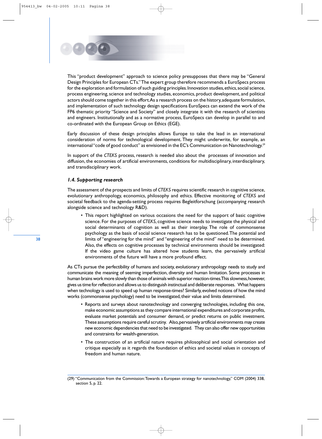This "product development" approach to science policy presupposes that there may be "General Design Principles for European CTs." The expert group therefore recommends a EuroSpecs process for the exploration and formulation of such guiding principles. Innovation studies, ethics, social science, process engineering, science and technology studies, economics, product development, and political actors should come together in this effort.As a research process on the history,adequate formulation, and implementation of such technology design specifications EuroSpecs can extend the work of the FP6 thematic priority "Science and Society" and closely integrate it with the research of scientists and engineers. Institutionally and as a normative process, EuroSpecs can develop in parallel to and co-ordinated with the European Group on Ethics (EGE).

Early discussion of these design principles allows Europe to take the lead in an international consideration of norms for technological development. They might underwrite, for example, an international "code of good conduct" as envisioned in the EC's Communication on Nanotechnology.<sup>29</sup>

In support of the *CTEKS* process, research is needed also about the processes of innovation and diffusion, the economies of artificial environments, conditions for multidisciplinary, interdisciplinary, and transdisciplinary work.

#### *1.4. Supporting research*

The assessment of the prospects and limits of *CTEKS* requires scientific research in cognitive science, evolutionary anthropology, economics, philosophy and ethics. Effective monitoring of *CTEKS* and societal feedback to the agenda-setting process requires Begleitforschung (accompanying research alongside science and technology R&D).

• This report highlighted on various occasions the need for the support of basic cognitive science. For the purposes of *CTEKS*, cognitive science needs to investigate the physical and social determinants of cognition as well as their interplay. The role of commonsense psychology as the basis of social science research has to be questioned.The potential and limits of "engineering for the mind" and "engineering of the mind" need to be determined. Also, the effects on cognitive processes by technical environments should be investigated: If the video game culture has altered how students learn, the pervasively artificial environments of the future will have a more profound effect.

As CTs pursue the perfectibility of humans and society, evolutionary anthropology needs to study and communicate the meaning of seeming imperfection, diversity and human limitation. Some processes in human brains work more slowly than those of animals with superior reaction-times.This slowness,however, gives us time for reflection and allows us to distinguish instinctual and deliberate responses. What happens when technology is used to speed up human response-times? Similarly,evolved notions of how the mind works (commonsense psychology) need to be investigated, their value and limits determined.

- Reports and surveys about nanotechnology and converging technologies, including this one, make economic assumptions as they compare international expenditures and corporate profits, evaluate market potentials and consumer demand, or predict returns on public investment. These assumptions require careful scrutiny. Also,pervasively artificial environments may create new economic dependencies that need to be investigated. They can also offer new opportunities and constraints for wealth-generation.
- The construction of an artificial nature requires philosophical and social orientation and critique especially as it regards the foundation of ethics and societal values in concepts of freedom and human nature.

<sup>(29) &</sup>quot;Communication from the Commission:Towards a European strategy for nanotechnology," COM (2004) 338, section 5, p. 22.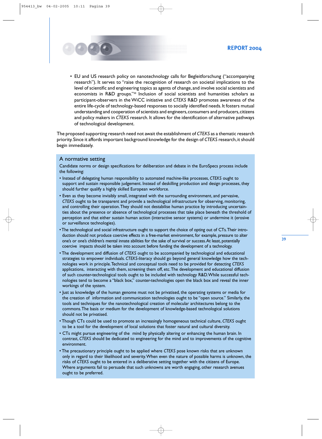954413\_bw 04-02-2005 10:11 Pagina 39

• EU and US research policy on nanotechnology calls for Begleitforschung ("accompanying research"). It serves to "raise the recognition of research on societal implications to the level of scientific and engineering topics as agents of change,and involve social scientists and economists in R&D groups."<sup>30</sup> Inclusion of social scientists and humanities scholars as participant-observers in the WiCC initiative and *CTEKS* R&D promotes awareness of the entire life-cycle of technology-based responses to socially identified needs.It fosters mutual understanding and cooperation of scientists and engineers,consumers and producers,citizens and policy makers in *CTEKS* research. It allows for the identification of alternative pathways of technological development.

The proposed supporting research need not await the establishment of *CTEKS* as a thematic research priority.Since it affords important background knowledge for the design of *CTEKS* research,it should begin immediately.

## A normative setting

Candidate norms or design specifications for deliberation and debate in the EuroSpecs process include the following:

- Instead of delegating human responsibility to automated machine-like processes, *CTEKS* ought to support and sustain responsible judgement. Instead of deskilling production and design processes, they should further qualify a highly skilled European workforce.
- Even as they become invisibly small, integrated with the surrounding environment, and pervasive, *CTEKS* ought to be transparent and provide a technological infrastructure for observing, monitoring, and controlling their operation.They should not destabilise human practice by introducing uncertainties about the presence or absence of technological processes that take place beneath the threshold of perception and that either sustain human action (interactive sensor systems) or undermine it (erosive or surveillance technologies).
- The technological and social infrastructure ought to support the choice of opting out of CTs.Their introduction should not produce coercive effects in a free-market environment, for example, pressure to alter one's or one's children's mental innate abilities for the sake of survival or success.At least, potentially coercive impacts should be taken into account before funding the development of a technology.
- The development and diffusion of *CTEKS* ought to be accompanied by technological and educational strategies to empower individuals. *CTEKS*-literacy should go beyond general knowledge how the technologies work in principle.Technical and conceptual tools need to be provided for detecting *CTEKS* applications, interacting with them, screening them off, etc.The development and educational diffusion of such counter-technological tools ought to be included with technology R&D.While successful technologies tend to become a "black box," counter-technologies open the black box and reveal the inner workings of the system.
- Just as knowledge of the human genome must not be privatised, the operating systems or media for the creation of information and communication technologies ought to be "open source." Similarly, the tools and techniques for the nanotechnological creation of molecular architectures belong to the commons.The basis or medium for the development of knowledge-based technological solutions should not be privatised.
- Though CTs could be used to promote an increasingly homogeneous technical culture, *CTEKS* ought to be a tool for the development of local solutions that foster natural and cultural diversity.
- CTs might pursue engineering of the mind by physically altering or enhancing the human brain. In contrast, *CTEKS* should be dedicated to engineering for the mind and to improvements of the cognitive environment.
- The precautionary principle ought to be applied where *CTEKS* pose known risks that are unknown only in regard to their likelihood and severity.When even the nature of possible harms is unknown, the risks of *CTEKS* ought to be entered in a deliberative setting together with the citizens of Europe. Where arguments fail to persuade that such unknowns are worth engaging, other research avenues ought to be preferred.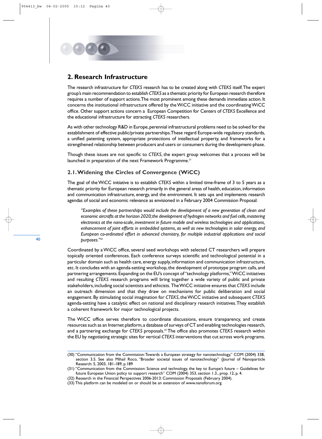# **2. Research Infrastructure**

The research infrastructure for *CTEKS* research has to be created along with *CTEKS* itself.The expert group's main recommendation to establish *CTEKS* as a thematic priority for European research therefore requires a number of support actions.The most prominent among these demands immediate action. It concerns the institutional infrastructure offered by the WiCC initiative and the coordinating WiCC office. Other support actions concern a European Competition for Centers of *CTEKS* Excellence and the educational infrastructure for attracting *CTEKS* researchers.

As with other technology R&D in Europe,perennial infrastructural problems need to be solved for the establishment of effective public/private partnerships.These regard Europe-wide regulatory standards, a unified patenting system, appropriate protections of intellectual property, and frameworks for a strengthened relationship between producers and users or consumers during the development-phase.

Though these issues are not specific to *CTEKS*, the expert group welcomes that a process will be launched in preparation of the next Framework Programme.<sup>31</sup>

## **2.1.Widening the Circles of Convergence (WiCC)**

The goal of the WiCC initiative is to establish *CTEKS* within a limited time-frame of 3 to 5 years as a thematic priority for European research primarily in the general areas of health, education, information and communication infrastructure, energy, and the environment. It sets ups and implements research agendas of social and economic relevance as envisioned in a February 2004 Commission Proposal:

*"Examples of these partnerships would include the development of a new generation of clean and economic aircrafts at the horizon 2020;the development of hydrogen networks and fuel cells,mastering electronics at the nano-scale, investment in future mobile and wireless technologies and applications, enhancement of joint efforts in embedded systems, as well as new technologies in solar energy, and European co-ordinated effort in advanced chemistry, for multiple industrial applications and social purposes."<sup>32</sup>*

Coordinated by a WiCC office, several seed workshops with selected CT researchers will prepare topically oriented conferences. Each conference surveys scientific and technological potential in a particular domain such as health care, energy supply, information and communication infrastructure, etc. It concludes with an agenda-setting workshop, the development of prototype program calls, and partnering arrangements.Expanding on the EU's concept of "technology platforms," WiCC initiatives and resulting *CTEKS* research programs will bring together a wide variety of public and private stakeholders,including social scientists and ethicists. The WiCC initiative ensures that *CTEKS* include an outreach dimension and that they draw on mechanisms for public deliberation and social engagement. By stimulating social imagination for *CTEKS*, the WiCC initiative and subsequent *CTEKS* agenda-setting have a catalytic effect on national and disciplinary research initiatives.They establish a coherent framework for major technological projects.

The WiCC office serves therefore to coordinate discussions, ensure transparency, and create resources such as an Internet platform,a database of surveys of CT and enabling technologies research, and a partnering exchange for *CTEKS* proposals.<sup>33</sup> The office also promotes *CTEKS* research within the EU by negotiating strategic sites for vertical *CTEKS* interventions that cut across work programs.

<sup>(30) &</sup>quot;Communication from the Commission:Towards a European strategy for nanotechnology," COM (2004) 338, section 3.5. See also Mihail Roco, "Broader societal issues of nanotechnology" (Journal of Nanoparticle Research: 5, 2003, 181-189, p.189

<sup>(31) &</sup>quot;Communication from the Commission: Science and technology, the key to Europe's future – Guidelines for future European Union policy to support research" COM (2004) 353, section 1.3., prop. 12, p. 4.

<sup>(32)</sup> Research in the Financial Perspectives 2006-2013: Commission Proposals (February 2004).

<sup>(33)</sup> This platform can be modeled on or should be an extension of www.nanoforum.org.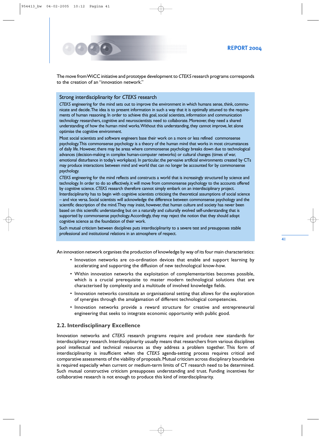The move from WiCC initiative and prototype development to *CTEKS* research programs corresponds to the creation of an "innovation network."

## Strong interdisciplinarity for *CTEKS* research

*CTEKS* engineering for the mind sets out to improve the environment in which humans sense, think, communicate and decide.The idea is to present information in such a way that it is optimally attuned to the requirements of human reasoning. In order to achieve this goal, social scientists, information and communication technology researchers, cognitive and neuroscientists need to collaborate. Moreover, they need a shared understanding of how the human mind works.Without this understanding, they cannot improve, let alone optimise the cognitive environment.

Most social scientists and software engineers base their work on a more or less refined commonsense psychology.This commonsense psychology is a theory of the human mind that works in most circumstances of daily life. However, there may be areas where commonsense psychology breaks down due to technological advances (decision-making in complex human-computer networks) or cultural changes (times of war, emotional disturbance in today's workplace). In particular, the pervasive artificial environments created by CTs may produce interactions between mind and world that can no longer be accounted for by commonsense psychology.

*CTEKS* engineering for the mind reflects and constructs a world that is increasingly structured by science and technology. In order to do so effectively, it will move from commonsense psychology to the accounts offered by cognitive science. *CTEKS* research therefore cannot simply embark on an interdisciplinary project. Interdisciplinarity has to begin with cognitive scientists criticising the theoretical assumptions of social science – and vice versa. Social scientists will acknowledge the difference between commonsense psychology and the scientific description of the mind.They may insist, however, that human culture and society has never been based on this scientific understanding but on a naturally and culturally evolved self-understanding that is supported by commonsense psychology.Accordingly, they may reject the notion that they should adopt cognitive science as the foundation of their work.

Such mutual criticism between disciplines puts interdisciplinarity to a severe test and presupposes stable professional and institutional relations in an atmosphere of respect.

An innovation network organises the production of knowledge by way of its four main characteristics:

- Innovation networks are co-ordination devices that enable and support learning by accelerating and supporting the diffusion of new technological know-how.
- Within innovation networks the exploitation of complementarities becomes possible, which is a crucial prerequisite to master modern technological solutions that are characterised by complexity and a multitude of involved knowledge fields.
- Innovation networks constitute an organisational setting that allows for the exploration of synergies through the amalgamation of different technological competencies.
- Innovation networks provide a reward structure for creative and entrepreneurial engineering that seeks to integrate economic opportunity with public good.

### **2.2. Interdisciplinary Excellence**

Innovation networks and *CTEKS* research programs require and produce new standards for interdisciplinary research. Interdisciplinarity usually means that researchers from various disciplines pool intellectual and technical resources as they address a problem together. This form of interdisciplinarity is insufficient when the *CTEKS* agenda-setting process requires critical and comparative assessments of the viability of proposals.Mutual criticism across disciplinary boundaries is required especially when current or medium-term limits of CT research need to be determined. Such mutual constructive criticism presupposes understanding and trust. Funding incentives for collaborative research is not enough to produce this kind of interdisciplinarity.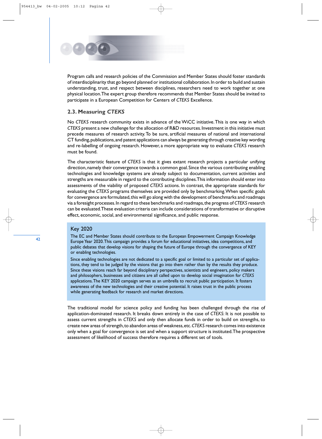Program calls and research policies of the Commission and Member States should foster standards of interdisciplinarity that go beyond planned or institutional collaboration.In order to build and sustain understanding, trust, and respect between disciplines, researchers need to work together at one physical location.The expert group therefore recommends that Member States should be invited to participate in a European Competition for Centers of *CTEKS* Excellence.

## **2.3. Measuring** *CTEKS*

No *CTEKS* research community exists in advance of the WiCC initiative.This is one way in which *CTEKS* present a new challenge for the allocation of R&D resources.Investment in this initiative must precede measures of research activity.To be sure, artificial measures of national and international CT funding,publications,and patent applications can always be generating through creative key wording and re-labelling of ongoing research. However, a more appropriate way to evaluate *CTEKS* research must be found.

The characteristic feature of *CTEKS* is that it gives extant research projects a particular unifying direction, namely their convergence towards a common goal. Since the various contributing enabling technologies and knowledge systems are already subject to documentation, current activities and strengths are measurable in regard to the contributing disciplines.This information should enter into assessments of the viability of proposed *CTEKS* actions. In contrast, the appropriate standards for evaluating the *CTEKS* programs themselves are provided only by benchmarking.When specific goals for convergence are formulated, this will go along with the development of benchmarks and roadmaps via a foresight processes.In regard to these benchmarks and roadmaps,the progress of *CTEKS* research can be evaluated.These evaluation criteria can include considerations of transformative or disruptive effect, economic, social, and environmental significance, and public response.

## Key 2020

The EC and Member States should contribute to the European Empowerment Campaign Knowledge Europe Year 2020.This campaign provides a forum for educational initiatives, idea competitions, and public debates that develop visions for shaping the future of Europe through the convergence of KEY or enabling technologies.

Since enabling technologies are not dedicated to a specific goal or limited to a particular set of applications, they tend to be judged by the visions that go into them rather than by the results they produce. Since these visions reach far beyond disciplinary perspectives, scientists and engineers, policy makers and philosophers, businesses and citizens are all called upon to develop social imagination for *CTEKS* applications.The KEY 2020 campaign serves as an umbrella to recruit public participation. It fosters awareness of the new technologies and their creative potential. It raises trust in the public process while generating feedback for research and market directions.

The traditional model for science policy and funding has been challenged through the rise of application-dominated research. It breaks down entirely in the case of *CTEKS*: It is not possible to assess current strengths in *CTEKS* and only then allocate funds in order to build on strengths, to create new areas of strength,to abandon areas of weakness,etc.*CTEKS* research comes into existence only when a goal for convergence is set and when a support structure is instituted.The prospective assessment of likelihood of success therefore requires a different set of tools.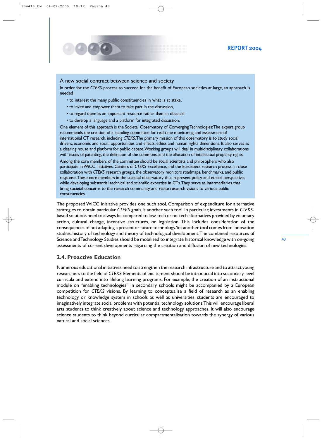#### A new social contract between science and society

In order for the *CTEKS* process to succeed for the benefit of European societies at large, an approach is needed

- to interest the many public constituencies in what is at stake,
- to invite and empower them to take part in the discussion,
- to regard them as an important resource rather than an obstacle,
- to develop a language and a platform for integrated discussion.

One element of this approach is the Societal Observatory of Converging Technologies:The expert group recommends the creation of a standing committee for real-time monitoring and assessment of international CT research, including *CTEKS*.The primary mission of this observatory is to study social drivers, economic and social opportunities and effects, ethics and human rights dimensions. It also serves as a clearing house and platform for public debate.Working groups will deal in multidisciplinary collaborations with issues of patenting, the definition of the commons, and the allocation of intellectual property rights.

Among the core members of the committee should be social scientists and philosophers who also participate in WiCC initiatives, Centers of *CTEKS* Excellence, and the EuroSpecs research process. In close collaboration with *CTEKS* research groups, the observatory monitors roadmaps, benchmarks, and public response.These core members in the societal observatory thus represent policy and ethical perspectives while developing substantial technical and scientific expertise in CTs.They serve as intermediaries that bring societal concerns to the research community, and relate research visions to various public constituencies.

The proposed WiCC initiative provides one such tool. Comparison of expenditure for alternative strategies to obtain particular *CTEKS* goals is another such tool. In particular, investments in *CTEKS*based solutions need to always be compared to low-tech or no-tech alternatives provided by voluntary action, cultural change, incentive structures, or legislation. This includes consideration of the consequences of not adapting a present or future technology.Yet another tool comes from innovation studies, history of technology and theory of technological development.The combined resources of Science and Technology Studies should be mobilised to integrate historical knowledge with on-going assessments of current developments regarding the creation and diffusion of new technologies.

## **2.4. Proactive Education**

Numerous educational initiatives need to strengthen the research infrastructure and to attract young researchers to the field of *CTEKS*.Elements of excitement should be introduced into secondary-level curricula and extend into lifelong learning programs. For example, the creation of an instructional module on "enabling technologies" in secondary schools might be accompanied by a European competition for *CTEKS* visions. By learning to conceptualise a field of research as an enabling technology or knowledge system in schools as well as universities, students are encouraged to imaginatively integrate social problems with potential technology solutions.This will encourage liberal arts students to think creatively about science and technology approaches. It will also encourage science students to think beyond curricular compartmentalisation towards the synergy of various natural and social sciences.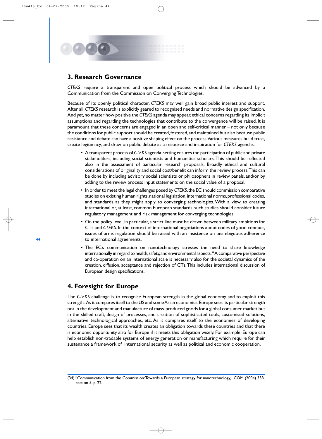# **3. Research Governance**

*CTEKS* require a transparent and open political process which should be advanced by a Communication from the Commission on Converging Technologies.

Because of its openly political character, *CTEKS* may well gain broad public interest and support. After all,*CTEKS* research is explicitly geared to recognised needs and normative design specification. And yet,no matter how positive the *CTEKS* agenda may appear,ethical concerns regarding its implicit assumptions and regarding the technologies that contribute to the convergence will be raised. It is paramount that these concerns are engaged in an open and self-critical manner – not only because the conditions for public support should be created, fostered, and maintained but also because public resistance and debate can have a positive shaping effect on the process.Various measures build trust, create legitimacy, and draw on public debate as a resource and inspiration for *CTEKS* agendas.

- A transparent process of *CTEKS* agenda-setting ensures the participation of public and private stakeholders, including social scientists and humanities scholars.This should be reflected also in the assessment of particular research proposals. Broadly ethical and cultural considerations of originality and social cost/benefit can inform the review process.This can be done by including advisory social scientists or philosophers in review panels, and/or by adding to the review process input statements on the social value of a proposal.
- In order to meet the legal challenges posed by *CTEKS*,the EC should commission comparative studies on existing human rights, national legislation, international norms, professional codes, and standards as they might apply to converging technologies. With a view to creating international or, at least, common European standards, such studies should consider future regulatory management and risk management for converging technologies.
- On the policy level, in particular, a strict line must be drawn between military ambitions for CTs and *CTEKS*. In the context of international negotiations about codes of good conduct, issues of arms regulation should be raised with an insistence on unambiguous adherence to international agreements.
- The EC's communication on nanotechnology stresses the need to share knowledge internationally in regard to health, safety, and environmental aspects.<sup>34</sup>A comparative perspective and co-operation on an international scale is necessary also for the societal dynamics of the creation, diffusion, acceptance and rejection of CTs.This includes international discussion of European design specifications.

# **4. Foresight for Europe**

The *CTEKS* challenge is to recognise European strength in the global economy and to exploit this strength. As it compares itself to the US and some Asian economies,Europe sees its particular strength not in the development and manufacture of mass-produced goods for a global consumer market but in the skilled craft, design of processes, and creation of sophisticated tools, customised solutions, alternative technological approaches, etc. As it compares itself to the economies of developing countries, Europe sees that its wealth creates an obligation towards these countries and that there is economic opportunity also for Europe if it meets this obligation wisely. For example, Europe can help establish non-tradable systems of energy generation or manufacturing which require for their sustenance a framework of international security as well as political and economic cooperation.

<sup>(34) &</sup>quot;Communication from the Commission:Towards a European strategy for nanotechnology," COM (2004) 338, section 5, p. 22.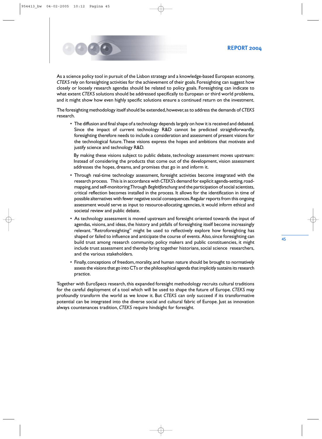As a science policy tool in pursuit of the Lisbon strategy and a knowledge-based European economy, *CTEKS* rely on foresighting activities for the achievement of their goals.Foresighting can suggest how closely or loosely research agendas should be related to policy goals. Foresighting can indicate to what extent *CTEKS* solutions should be addressed specifically to European or third world problems, and it might show how even highly specific solutions ensure a continued return on the investment.

The foresighting methodology itself should be extended,however,as to address the demands of *CTEKS* research.

• The diffusion and final shape of a technology depends largely on how it is received and debated. Since the impact of current technology R&D cannot be predicted straightforwardly, foresighting therefore needs to include a consideration and assessment of present visions for the technological future.These visions express the hopes and ambitions that motivate and justify science and technology R&D.

By making these visions subject to public debate, technology assessment moves upstream: Instead of considering the products that come out of the development, vision assessment addresses the hopes, dreams, and promises that go in and inform it.

- Through real-time technology assessment, foresight activities become integrated with the research process. This is in accordance with *CTEKS*'s demand for explicit agenda-setting,roadmapping,and self-monitoring:Through *Begleitforschung* and the participation of social scientists, critical reflection becomes installed in the process. It allows for the identification in time of possible alternatives with fewer negative social consequences.Regular reports from this ongoing assessment would serve as input to resource-allocating agencies, it would inform ethical and societal review and public debate.
- As technology assessment is moved upstream and foresight oriented towards the input of agendas, visions, and ideas, the history and pitfalls of foresighting itself become increasingly relevant. "Retroforesighting" might be used to reflectively explore how foresighting has shaped or failed to influence and anticipate the course of events. Also,since foresighting can build trust among research community, policy makers and public constituencies, it might include trust assessment and thereby bring together historians, social science researchers, and the various stakeholders.
- Finally, conceptions of freedom, morality, and human nature should be brought to normatively assess the visions that go into CTs or the philosophical agenda that implicitly sustains its research practice.

Together with EuroSpecs research, this expanded foresight methodology recruits cultural traditions for the careful deployment of a tool which will be used to shape the future of Europe. *CTEKS* may profoundly transform the world as we know it. But *CTEKS* can only succeed if its transformative potential can be integrated into the diverse social and cultural fabric of Europe. Just as innovation always countenances tradition, *CTEKS* require hindsight for foresight.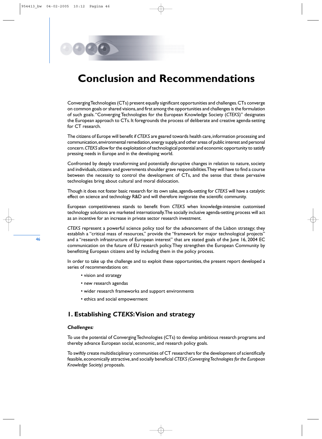# **Conclusion and Recommendations**

Converging Technologies (CTs) present equally significant opportunities and challenges.CTs converge on common goals or shared visions,and first among the opportunities and challenges is the formulation of such goals."Converging Technologies for the European Knowledge Society (*CTEKS*)" designates the European approach to CTs. It foregrounds the process of deliberate and creative agenda-setting for CT research.

The citizens of Europe will benefit if *CTEKS* are geared towards health care,information processing and communication,environmental remediation,energy supply,and other areas of public interest and personal concern.*CTEKS* allow for the exploitation of technological potential and economic opportunity to satisfy pressing needs in Europe and in the developing world.

Confronted by deeply transforming and potentially disruptive changes in relation to nature, society and individuals,citizens and governments shoulder grave responsibilities.They will have to find a course between the necessity to control the development of CTs, and the sense that these pervasive technologies bring about cultural and moral dislocation.

Though it does not foster basic research for its own sake,agenda-setting for *CTEKS* will have a catalytic effect on science and technology R&D and will therefore invigorate the scientific community.

European competitiveness stands to benefit from *CTEKS* when knowledge-intensive customised technology solutions are marketed internationally.The socially inclusive agenda-setting process will act as an incentive for an increase in private sector research investment.

*CTEKS* represent a powerful science policy tool for the advancement of the Lisbon strategy; they establish a "critical mass of resources," provide the "framework for major technological projects' and a "research infrastructure of European interest" that are stated goals of the June 16, 2004 EC communication on the future of EU research policy.They strengthen the European Community by benefitting European citizens and by including them in the policy process.

In order to take up the challenge and to exploit these opportunities, the present report developed a series of recommendations on:

- vision and strategy
- new research agendas
- wider research frameworks and support environments
- ethics and social empowerment

## **1. Establishing** *CTEKS***:Vision and strategy**

#### *Challenges:*

To use the potential of Converging Technologies (CTs) to develop ambitious research programs and thereby advance European social, economic, and research policy goals.

To swiftly create multidisciplinary communities of CT researchers for the development of scientifically feasible,economically attractive,and socially beneficial *CTEKS (Converging Technologies for the European Knowledge Society)* proposals.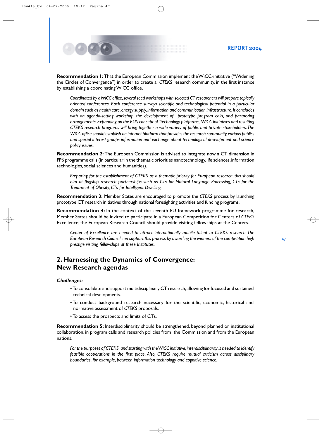**Recommendation 1:**That the European Commission implement the WiCC-initiative ("Widening the Circles of Convergence") in order to create a *CTEKS* research community, in the first instance by establishing a coordinating WiCC office.

*Coordinated by a WiCC office,several seed workshops with selected CT researchers will prepare topically oriented conferences. Each conference surveys scientific and technological potential in a particular domain such as health care,energy supply,information and communication infrastructure.It concludes with an agenda-setting workshop, the development of prototype program calls, and partnering arrangements.Expanding on the EU's concept of "technology platforms,"WiCC initiatives and resulting CTEKS research programs will bring together a wide variety of public and private stakeholders.The WiCC office should establish an internet platform that provides the research community,various publics and special interest groups information and exchange about technological development and science policy issues.*

**Recommendation 2:** The European Commission is advised to integrate now a CT dimension in FP6 programme calls (in particular in the thematic priorities nanotechnology, life sciences, information technologies, social sciences and humanities).

*Preparing for the establishment of CTEKS as a thematic priority for European research, this should aim at flagship research partnerships such as CTs for Natural Language Processing, CTs for the Treatment of Obesity, CTs for Intelligent Dwelling.*

**Recommendation 3:** Member States are encouraged to promote the *CTEKS* process by launching prototype CT research initiatives through national foresighting activities and funding programs.

**Recommendation 4:** In the context of the seventh EU framework programme for research, Member States should be invited to participate in a European Competition for Centers of *CTEKS* Excellence; the European Research Council should provide visiting fellowships at the Centers.

*Center of Excellence are needed to attract internationally mobile talent to CTEKS research. The European Research Council can support this process by awarding the winners of the competition high prestige visiting fellowships at these Institutes.*

# **2. Harnessing the Dynamics of Convergence: New Research agendas**

#### *Challenges:*

- To consolidate and support multidisciplinary CT research,allowing for focused and sustained technical developments.
- To conduct background research necessary for the scientific, economic, historical and normative assessment of *CTEKS* proposals.
- To assess the prospects and limits of CTs.

**Recommendation 5:** Interdisciplinarity should be strengthened, beyond planned or institutional collaboration, in program calls and research policies from the Commission and from the European nations.

*For the purposes of CTEKS and starting with the WiCC initiative,interdisciplinarity is needed to identify feasible cooperations in the first place. Also, CTEKS require mutual criticism across disciplinary boundaries, for example, between information technology and cognitive science.*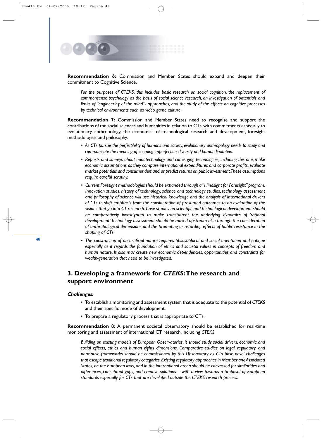**Recommendation 6:** Commission and Member States should expand and deepen their commitment to Cognitive Science.

*For the purposes of CTEKS, this includes basic research on social cognition, the replacement of commonsense psychology as the basis of social science research, an investigation of potentials and limits of "engineering of the mind"- approaches, and the study of the effects on cognitive processes by technical environments such as video game culture.*

**Recommendation 7:** Commission and Member States need to recognise and support the contributions of the social sciences and humanities in relation to CTs,with commitments especially to evolutionary anthropology, the economics of technological research and development, foresight methodologies and philosophy.

- *As CTs pursue the perfectibility of humans and society, evolutionary anthropology needs to study and communicate the meaning of seeming imperfection, diversity and human limitation.*
- *Reports and surveys about nanotechnology and converging technologies, including this one, make economic assumptions as they compare international expenditures and corporate profits, evaluate market potentials and consumer demand,or predict returns on public investment.These assumptions require careful scrutiny.*
- *Current Foresight methodologies should be expanded through a "Hindsight for Foresight"program. Innovation studies, history of technology, science and technology studies, technology assessment and philosophy of science will use historical knowledge and the analysis of international drivers of CTs to shift emphasis from the consideration of presumed outcomes to an evaluation of the visions that go into CT research. Case studies on scientific and technological development should be comparatively investigated to make transparent the underlying dynamics of 'rational development.'Technology assessment should be moved upstream also through the consideration of anthropological dimensions and the promoting or retarding effects of public resistance in the shaping of CTs.*
- *The construction of an artificial nature requires philosophical and social orientation and critique especially as it regards the foundation of ethics and societal values in concepts of freedom and human nature. It also may create new economic dependencies, opportunities and constraints for wealth-generation that need to be investigated.*

# **3. Developing a framework for** *CTEKS***:The research and support environment**

#### *Challenges:*

- To establish a monitoring and assessment system that is adequate to the potential of *CTEKS* and their specific mode of development.
- To prepare a regulatory process that is appropriate to CTs.

**Recommendation 8:** A permanent societal observatory should be established for real-time monitoring and assessment of international CT research, including *CTEKS*.

*Building on existing models of European Observatories, it should study social drivers, economic and social effects, ethics and human rights dimensions. Comparative studies on legal, regulatory, and normative frameworks should be commissioned by this Observatory as CTs pose novel challenges that escape traditional regulatory categories.Existing regulatory approaches in Member and Associated States, on the European level, and in the international arena should be canvassed for similarities and differences, conceptual gaps, and creative solutions – with a view towards a proposal of European standards especially for CTs that are developed outside the CTEKS research process.*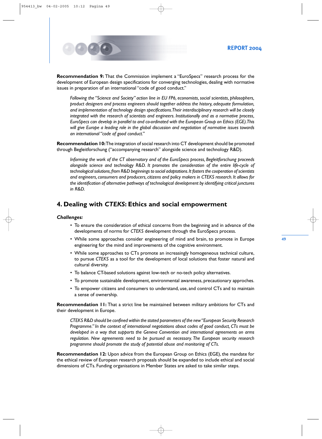

**Recommendation 9:** That the Commission implement a "EuroSpecs" research process for the development of European design specifications for converging technologies, dealing with normative issues in preparation of an international "code of good conduct."

*Following the "Science and Society" action line in EU FP6, economists, social scientists, philosophers, product designers and process engineers should together address the history, adequate formulation, and implementation of technology design specifications.Their interdisciplinary research will be closely integrated with the research of scientists and engineers. Institutionally and as a normative process, EuroSpecs can develop in parallel to and co-ordinated with the European Group on Ethics (EGE).This will give Europe a leading role in the global discussion and negotiation of normative issues towards an international "code of good conduct."*

**Recommendation 10:**The integration of social research into CT development should be promoted through Begleitforschung ("accompanying research" alongside science and technology R&D).

*Informing the work of the CT observatory and of the EuroSpecs process, Begleitforschung proceeds alongside science and technology R&D. It promotes the consideration of the entire life-cycle of technological solutions,from R&D beginnings to social adaptations.It fosters the cooperation of scientists and engineers, consumers and producers, citizens and policy makers in CTEKS research. It allows for the identification of alternative pathways of technological development by identifying critical junctures in R&D.*

# **4. Dealing with** *CTEKS***: Ethics and social empowerment**

#### *Challenges:*

- *•* To ensure the consideration of ethical concerns from the beginning and in advance of the developments of norms for *CTEKS* development through the EuroSpecs process.
- *•* While some approaches consider engineering of mind and brain, to promote in Europe engineering for the mind and improvements of the cognitive environment.
- *•* While some approaches to CTs promote an increasingly homogeneous technical culture, to pursue *CTEKS* as a tool for the development of local solutions that foster natural and cultural diversity.
- *•* To balance CT-based solutions against low-tech or no-tech policy alternatives.
- *•* To promote sustainable development, environmental awareness, precautionary approches.
- *•* To empower citizens and consumers to understand, use, and control CTs and to maintain a sense of ownership.

**Recommendation 11:** That a strict line be maintained between military ambitions for CTs and their development in Europe.

*CTEKS R&D should be confined within the stated parameters of the new "European Security Research Programme." In the context of international negotiations about codes of good conduct, CTs must be developed in a way that supports the Geneva Convention and international agreements on arms regulation. New agreements need to be pursued as necessary. The European security research programme should promote the study of potential abuse and monitoring of CTs.*

**Recommendation 12:** Upon advice from the European Group on Ethics (EGE), the mandate for the ethical review of European research proposals should be expanded to include ethical and social dimensions of CTs. Funding organisations in Member States are asked to take similar steps.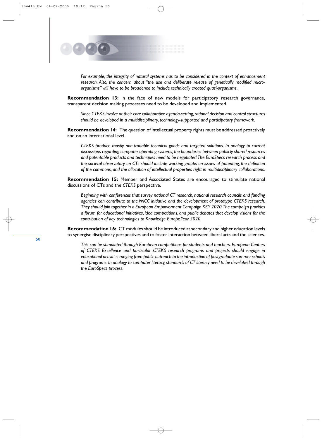*For example, the integrity of natural systems has to be considered in the context of enhancement research. Also, the concern about "the use and deliberate release of genetically modified microorganisms" will have to be broadened to include technically created quasi-organisms.*

**Recommendation 13:** In the face of new models for participatory research governance, transparent decision making processes need to be developed and implemented.

*Since CTEKS involve at their core collaborative agenda-setting,rational decision and control structures should be developed in a multidisciplinary, technology-supported and participatory framework.*

**Recommendation 14:** The question of intellectual property rights must be addressed proactively and on an international level.

*CTEKS produce mostly non-tradable technical goods and targeted solutions. In analogy to current discussions regarding computer operating systems,the boundaries between publicly shared resources and patentable products and techniques need to be negotiated.The EuroSpecs research process and the societal observatory on CTs should include working groups on issues of patenting, the definition of the commons, and the allocation of intellectual properties right in multidisciplinary collaborations.*

**Recommendation 15:** Member and Associated States are encouraged to stimulate national discussions of CTs and the *CTEKS* perspective.

*Beginning with conferences that survey national CT research, national research councils and funding agencies can contribute to the WiCC initiative and the development of prototype CTEKS research. They should join together in a European Empowerment Campaign KEY 2020.The campaign provides a forum for educational initiatives, idea competitions, and public debates that develop visions for the contribution of key technologies to Knowledge Europe Year 2020.*

**Recommendation 16:** CT modules should be introduced at secondary and higher education levels to synergise disciplinary perspectives and to foster interaction between liberal arts and the sciences.

*This can be stimulated through European competitions for students and teachers. European Centers of CTEKS Excellence and particular CTEKS research programs and projects should engage in educational activities ranging from public outreach to the introduction of postgraduate summer schools and programs.In analogy to computer literacy,standards of CT literacy need to be developed through the EuroSpecs process.*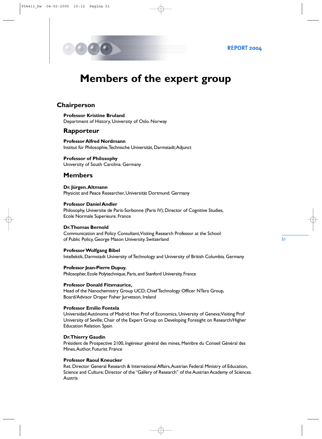# **Members of the expert group**

## **Chairperson**

**Professor Kristine Bruland** Department of History, University of Oslo. Norway

## **Rapporteur**

**Professor Alfred Nordmann** Institut für Philosophie,Technische Universität, Darmstadt;Adjunct

## **Professor of Philosophy**

University of South Carolina. Germany

## **Members**

**Dr. Jürgen.Altmann** Physicist and Peace Researcher, Universität Dortmund. Germany

### **Professor Daniel Andler**

Philosophy, Universite de Paris-Sorbonne (Paris IV); Director of Cognitive Studies, Ecole Normale Superieure. France

## **Dr.Thomas Bernold**

Communication and Policy Consultant,Visiting Research Professor at the School of Public Policy, George Mason University. Switserland

### **Professor Wolfgang Bibel**

Intellektik, Darmstadt University of Technology and University of British Columbia. Germany

# **Professor Jean-Pierre Dupuy**,

Philosopher, Ecole Polytechnique, Paris, and Stanford University. France

#### **Professor Donald Fitsmaurice,**

Head of the Nanochemistry Group UCD; Chief Technology Officer NTera Group, Board/Advisor Draper Fisher Jurvetson. Ireland

#### **Professor Emilio Fontela**

Universidad Autónoma of Madrid; Hon Prof of Economics, University of Geneva;Visiting Prof University of Seville; Chair of the Expert Group on Developing Foresight on Research/Higher Education Relation. Spain

#### **Dr.Thierry Gaudin**

Président de Prospective 2100, Ingénieur général des mines, Membre du Conseil Général des Mines,Author, Futurist. France

### **Professor Raoul Kneucker**

Ret. Director General Research & International Affairs, Austrian Federal Ministry of Education, Science and Culture; Director of the "Gallery of Research" of the Austrian Academy of Sciences. Austria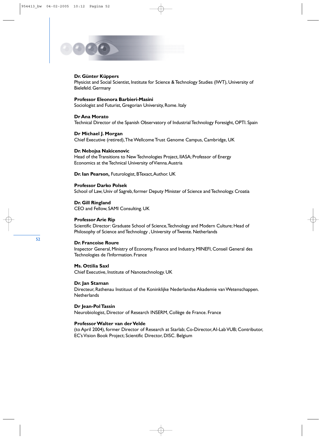

## **Dr. Günter Küppers**

Physicist and Social Scientist, Institute for Science & Technology Studies (IWT), University of Bielefeld. Germany

## **Professor Eleonora Barbieri-Masini**

Sociologist and Futurist, Gregorian University, Rome. Italy

### **Dr Ana Morato**

Technical Director of the Spanish Observatory of Industrial Technology Foresight, OPTI. Spain

## **Dr Michael J. Morgan**

Chief Executive (retired),The Wellcome Trust Genome Campus, Cambridge, UK

#### **Dr. Nebojsa Nakicenovic**

Head of the Transitions to New Technologies Project, IIASA; Professor of Energy Economics at the Technical University of Vienna.Austria

**Dr. Ian Pearson,** Futurologist, BTexact,Author. UK

#### **Professor Darko Polsek**

School of Law, Univ of Sagreb, former Deputy Minister of Science and Technology. Croatia

# **Dr. Gill Ringland**

CEO and Fellow, SAMI Consulting. UK

## **Professor Arie Rip**

Scientific Director: Graduate School of Science,Technology and Modern Culture; Head of Philosophy of Science and Technology , University of Twente. Netherlands

### **Dr. Francoise Roure**

Inspector General, Ministry of Economy, Finance and Industry, MINEFI, Conseil General des Technologies de l'Information. France

## **Ms. Ottilia Saxl**

Chief Executive, Institute of Nanotechnology. UK

### **Dr. Jan Staman**

Directeur, Rathenau Instituut of the Koninklijke Nederlandse Akademie van Wetenschappen. **Netherlands** 

#### **Dr Jean-Pol Tassin**

Neurobiologist, Director of Research INSERM, Collège de France. France

#### **Professor Walter van der Velde**

(to April 2004), former Director of Research at Starlab; Co-Director,AI-Lab VUB; Contributor, EC's Vision Book Project; Scientific Director, DISC. Belgium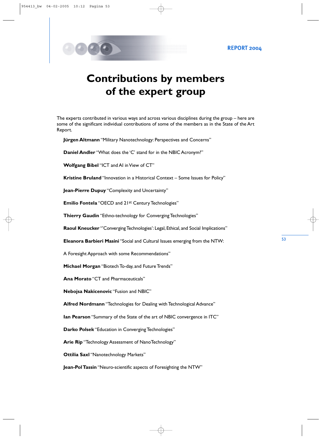# **Contributions by members of the expert group**

The experts contributed in various ways and across various disciplines during the group – here are some of the significant individual contributions of some of the members as in the State of the Art Report.

**Jürgen Altmann** "Military Nanotechnology: Perspectives and Concerns"

**Daniel Andler** "What does the 'C' stand for in the NBIC Acronym?"

**Wolfgang Bibel** "ICT and AI in View of CT"

**Kristine Bruland** "Innovation in a Historical Context – Some Issues for Policy"

**Jean-Pierre Dupuy** "Complexity and Uncertainty"

**Emilio Fontela** "OECD and 21<sup>st</sup> Century Technologies"

**Thierry Gaudin** "Ethno-technology for Converging Technologies"

**Raoul Kneucker** "Converging Technologies': Legal, Ethical, and Social Implications"

**Eleanora Barbieri Masini** "Social and Cultural Issues emerging from the NTW:

A Foresight Approach with some Recommendations"

**Michael Morgan** "Biotech To-day, and Future Trends"

**Ana Morato** "CT and Pharmaceuticals"

**Nebojsa Nakicenovic** "Fusion and NBIC"

**Alfred Nordmann** "Technologies for Dealing with Technological Advance"

**Ian Pearson** "Summary of the State of the art of NBIC convergence in ITC"

**Darko Polsek** "Education in Converging Technologies"

Arie Rip "Technology Assessment of NanoTechnology"

**Ottilia Saxl** "Nanotechnology Markets"

**Jean-Pol Tassin** "Neuro-scientific aspects of Foresighting the NTW"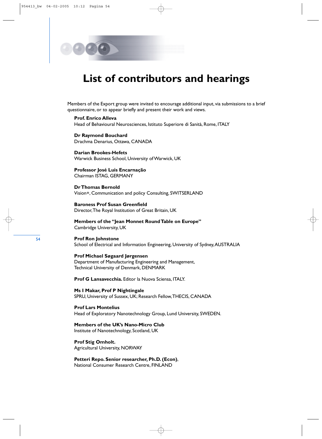# **List of contributors and hearings**

Members of the Export group were invited to encourage additional input, via submissions to a brief questionnaire, or to appear briefly and present their work and views.

**Prof. Enrico Alleva** Head of Behavioural Neurosciences, Istituto Superiore di Sanità, Rome, ITALY

**Dr Raymond Bouchard** Drachma Denarius, Ottawa, CANADA

**Darian Brookes-Hefets** Warwick Business School, University of Warwick, UK

**Professor José Luis Encarnação** Chairman ISTAG, GERMANY

**Dr Thomas Bernold** Vision+, Communication and policy Consulting, SWITSERLAND

**Baroness Prof Susan Greenfield** Director,The Royal Institution of Great Britain, UK

**Members of the "Jean Monnet Round Table on Europe"** Cambridge University, UK

**Prof Ron Johnstone** School of Electrical and Information Engineering, University of Sydney,AUSTRALIA

## **Prof Michael Søgaard Jørgensen**

Department of Manufacturing Engineering and Management, Technical University of Denmark, DENMARK

**Prof G Lansavecchia.** Editor la Nuova Sciensa, ITALY.

**Ms I Makar, Prof P Nightingale** SPRU, University of Sussex, UK; Research Fellow,THECIS, CANADA

**Prof Lars Montelius** Head of Exploratory Nanotechnology Group, Lund University, SWEDEN.

**Members of the UK's Nano-Micro Club** Institute of Nanotechnology, Scotland, UK

**Prof Stig Omholt.** Agricultural University, NORWAY

**Petteri Repo. Senior researcher, Ph.D. (Econ)**, National Consumer Research Centre, FINLAND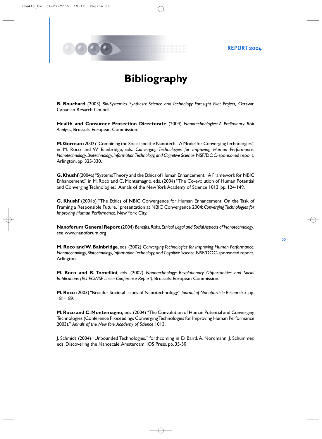# **Bibliography**

**R. Bouchard** (2003) *Bio-Systemics Synthesis: Science and Technology Foresight Pilot Project,* Ottawa: Canadian Resarch Council.

**Health and Consumer Protection Directorate** (2004) *Nanotechnologies: A Preliminary Risk Analysis*, Brussels: European Commission.

**M.Gorman** (2002) "Combining the Social and the Nanotech: A Model for Converging Technologies," in M. Roco and W. Bainbridge, eds. C*onverging Technologies for Improving Human Performance: Nanotechnology,Biotechnology,Information Technology,and Cognitive Science*,NSF/DOC-sponsored report, Arlington, pp. 325-330.

**G.Khushf** (2004a) "Systems Theory and the Ethics of Human Enhancement: A Framework for NBIC Enhancement," in M. Roco and C. Montemagno, eds. (2004) "The Co-evolution of Human Potential and Converging Technologies," Annals of the New York Academy of Science 1013, pp. 124-149.

**G. Khushf** (2004b) "The Ethics of NBIC Convergence for Human Enhancement: On the Task of Framing a Responsible Future," presentation at NBIC Convergence 2004: *Converging Technologies for Improving Human Performance*, New York City.

**Nanoforum General Report** (2004) *Benefits,Risks,Ethical,Legal and Social Aspects of Nanotechnology*, see www.nanoforum.org

**M. Roco and W. Bainbridge**, eds. (2002) C*onverging Technologies for Improving Human Performance: Nanotechnology,Biotechnology,Information Technology,and Cognitive Science*,NSF/DOC-sponsored report, Arlington.

**M. Roco and R. Tomellini**, eds. (2002) *Nanotechnology: Revolutionary Opportunities and Social Implications (EU-EC/NSF Lecce Conference Report)*, Brussels: European Commission.

**M. Roco** (2003) "Broader Societal Issues of Nanotechnology," *Journal of Nanoparticle Research 5*, pp. 181-189.

**M.Roco and C.Montemagno,** eds.(2004) "The Coevolution of Human Potential and Converging Technologies (Conference Proceedings Converging Technologies for Improving Human Performance 2003)," *Annals of the New York Academy of Science* 1013.

J. Schmidt (2004) "Unbounded Technologies," forthcoming in D. Baird, A. Nordmann, J. Schummer, eds. Discovering the Nanoscale,Amsterdam: IOS Press, pp. 35-50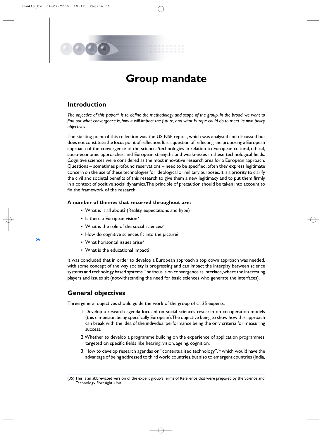# **Group mandate**

# **Introduction**

*The objective of this paper<sup>35</sup> is to define the methodology and scope of the group. In the broad, we want to find out what convergence is, how it will impact the future, and what Europe could do to meet its own policy objectives.*

The starting point of this reflection was the US NSF report, which was analysed and discussed but does not constitute the focus point of reflection. It is a question of reflecting and proposing a European approach of the convergence of the sciences/technologies in relation to European cultural, ethical, socio-economic approaches; and European strengths and weaknesses in these technological fields. Cognitive sciences were considered as the most innovative research area for a European approach. Questions – sometimes profound reservations – need to be specified, often they express legitimate concern on the use of these technologies for ideological or military purposes.It is a priority to clarify the civil and societal benefits of this research to give them a new legitimacy and to put them firmly in a context of positive social dynamics.The principle of precaution should be taken into account to fix the framework of the research.

#### **A number of themes that recurred throughout are:**

- *•* What is it all about? (Reality, expectations and hype)
- *•* Is there a European vision?
- *•* What is the role of the social sciences?
- *•* How do cognitive sciences fit into the picture?
- *•* What horisontal issues arise?
- *•* What is the educational impact?

It was concluded that in order to develop a European approach a top down approach was needed, with some concept of the way society is progressing and can impact the interplay between science systems and technology based systems.The focus is on convergence as interface,where the interesting players and issues sit (notwithstanding the need for basic sciences who generate the interfaces).

# **General objectives**

Three general objectives should guide the work of the group of ca 25 experts:

- 1. Develop a research agenda focused on social sciences research on co-operation models (this dimension being specifically European).The objective being to show how this approach can break with the idea of the individual performance being the only criteria for measuring success.
- 2.Whether to develop a programme building on the experience of application programmes targeted on specific fields like hearing, vision, ageing, cognition.
- 3. How to develop research agendas on "contextualised technology",<sup>36</sup> which would have the advantage of being addressed to third world countries,but also to emergent countries (India,

<sup>(35)</sup> This is an abbreviated version of the expert group's Terms of Reference that were prepared by the Science and Technology Foresight Unit.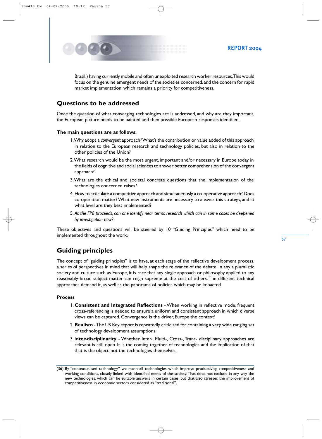Brasil,) having currently mobile and often unexploited research worker resources.This would focus on the genuine emergent needs of the societies concerned,and the concern for rapid market implementation, which remains a priority for competitiveness.

# **Questions to be addressed**

Once the question of what converging technologies are is addressed, and why are they important, the European picture needs to be painted and then possible European responses identified.

#### **The main questions are as follows:**

- 1.Why adopt a *convergent* approach? What's the contribution or value added of this approach in relation to the European research and technology policies, but also in relation to the other policies of the Union?
- 2.What research would be the most urgent, important and/or necessary in Europe today in the fields of cognitive and social sciences to answer better comprehension of the convergent approach?
- 3.What are the ethical and societal concrete questions that the implementation of the technologies concerned raises?
- 4. How to articulate a competitive approach and simultaneously a co-operative approach? Does co-operation matter? What new instruments are necessary to answer this strategy, and at what level are they best implemented?
- 5. *As the FP6 proceeds, can one identify near terms research which can in some cases be deepened by investigation now?*

These objectives and questions will be steered by 10 "Guiding Principles" which need to be implemented throughout the work.

# **Guiding principles**

The concept of "guiding principles" is to have, at each stage of the reflective development process, a series of perspectives in mind that will help shape the relevance of the debate. In any a pluralistic society and culture such as Europe, it is rare that any single approach or philosophy applied to any reasonably broad subject matter can reign supreme at the cost of others.The different technical approaches demand it, as well as the panorama of policies which may be impacted.

#### **Process**

- 1. **Consistent and Integrated Reflections** When working in reflective mode, frequent cross-referencing is needed to ensure a uniform and consistent approach in which diverse views can be captured. Convergence is the driver, Europe the context!
- 2. **Realism** The US Key report is repeatedly criticised for containing a very wide ranging set of technology development assumptions.
- 3. I**nter-disciplinarity** Whether Inter-, Multi-, Cross-, Trans- disciplinary approaches are relevant is still open. It is the coming together of technologies and the implication of that that is the object, not the technologies themselves.

<sup>(36)</sup> By "contextualised technology" we mean all technologies which improve productivity, competitiveness and working conditions, closely linked with identified needs of the society.That does not exclude in any way the new technologies, which can be suitable answers in certain cases, but that also stresses the improvement of competitiveness in economic sectors considered as "traditional".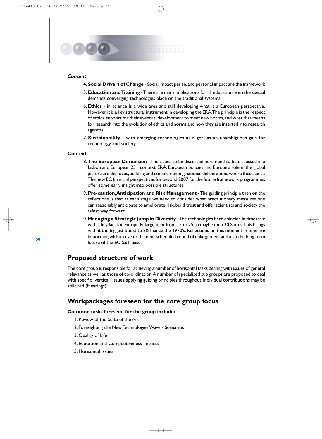

#### *Content*

- 4. **Social Drivers of Change** Social impact per se,and personal impact are the framework
- 5. **Education and Training** There are many implications for all education,with the special demands converging technologies place on the traditional systems.
- 6. **Ethics** in science is a wide area and still developing what is a European perspective. However,it is a key structural instrument in developing the ERA.The principle is the respect of ethics,support for their eventual development to meet new norms,and what that means for research into the evolution of ethics and norms and how they are inserted into research agendas.
- 7. **Sustainability** with emerging technologies as a goal as an unambiguous gain for technology and society.

#### **Context**

- 8. **The European Dimension** The issues to be discussed here need to be discussed in a Lisbon and European 25+ context. ERA, European policies and Europe's role in the global picture are the focus,building and complementing national deliberations where these exist. The new EC financial perspectives for beyond 2007 for the future framework programmes offer some early insight into possible structures.
- 9. **Pre-caution,Anticipation and Risk Management** The guiding principle then on the reflections is that at each stage we need to consider what precautionary measures one can reasonably anticipate to ameliorate risk, build trust and offer scientists and society the safest way forward.
- 10. **Managing a Strategic Jump in Diversity** The technologies here coincide in timescale with a key fact for Europe Enlargement from 15 to 25 to maybe then 30 States.This brings with it the biggest boost to S&T since the 1970's. Reflections on this moment in time are important,with an eye to the next scheduled round of enlargement and also the long term future of the EU S&T base.

# **Proposed structure of work**

The core group is responsible for achieving a number of horisontal tasks dealing with issues of general relevance as well as those of co-ordination.A number of specialised sub groups are proposed to deal with specific "vertical" issues;applying guiding principles throughout.Individual contributions may be solicited (Hearings).

# **Workpackages foreseen for the core group focus**

**Common tasks foreseen for the group include:**

- 1. Review of the State of the Art
- 2. Foresighting the New Technologies Wave Scenarios
- 3. Quality of Life
- 4. Education and Competitiveness Impacts
- 5. Horisontal Issues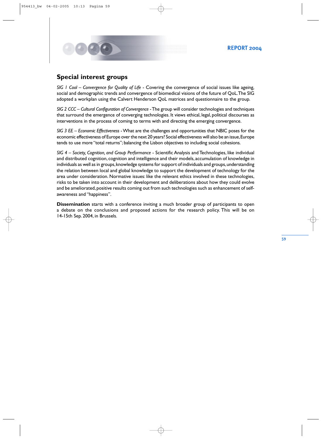# **Special interest groups**

*SIG 1 Cool – Convergence for Quality of Life* - Covering the convergence of social issues like ageing, social and demographic trends and convergence of biomedical visions of the future of QoL.The SIG adopted a workplan using the Calvert Henderson QoL matrices and questionnaire to the group.

*SIG 2 CCC – Cultural Configuration of Convergence* - The group will consider technologies and techniques that surround the emergence of converging technologies. It views ethical, legal, political discourses as interventions in the process of coming to terms with and directing the emerging convergence.

*SIG 3 EE – Economic Effectiveness* - What are the challenges and opportunities that NBIC poses for the economic effectiveness of Europe over the next 20 years? Social effectiveness will also be an issue, Europe tends to use more "total returns"; balancing the Lisbon objectives to including social cohesions.

*SIG 4 – Society, Cognition, and Group Performance* - Scientific Analysis and Technologies, like individual and distributed cognition,cognition and intelligence and their models,accumulation of knowledge in individuals as well as in groups, knowledge systems for support of individuals and groups, understanding the relation between local and global knowledge to support the development of technology for the area under consideration. Normative issues: like the relevant ethics involved in these technologies, risks to be taken into account in their development and deliberations about how they could evolve and be ameliorated, positive results coming out from such technologies such as enhancement of selfawareness and "happiness".

**Dissemination** starts with a conference inviting a much broader group of participants to open a debate on the conclusions and proposed actions for the research policy. This will be on 14-15th Sep. 2004, in Brussels.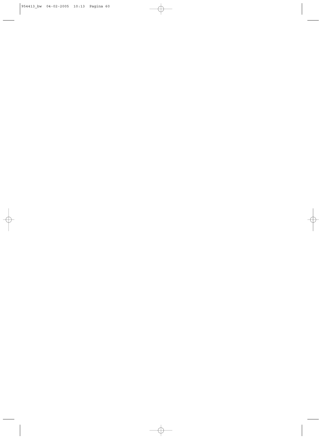954413\_bw 04-02-2005 10:13 Pagina 60

 $\overline{\mathcal{A}}$ 

 $\phi$ 

 $\phi$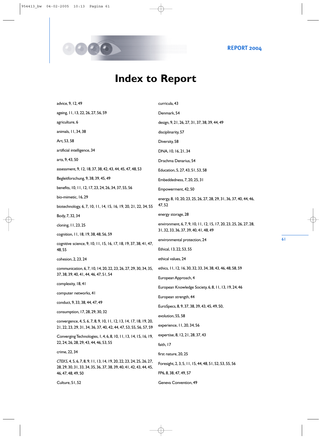# **Index to Report**

advice, 9, 12, 49 ageing, 11, 13, 22, 26, 27, 56, 59 agriculture, 6 animals, 11, 34, 38 Art, 53, 58 artificial intelligence, 34 arts, 9, 43, 50 assessment, 9, 12, 18, 37, 38, 42, 43, 44, 45, 47, 48, 53 Begleitforschung, 9, 38, 39, 45, 49 benefits, 10, 11, 12, 17, 23, 24, 26, 34, 37, 55, 56 bio-mimetic, 16, 29 biotechnology, 6, 7, 10, 11, 14, 15, 16, 19, 20, 21, 22, 34, 55 Body, 7, 32, 34 cloning, 11, 23, 25 cognition, 11, 18, 19, 38, 48, 56, 59 cognitive science, 9, 10, 11, 15, 16, 17, 18, 19, 37, 38, 41, 47, 48, 55 cohesion, 2, 23, 24 communication, 6, 7, 10, 14, 20, 22, 23, 26, 27, 29, 30, 34, 35, 37, 38, 39, 40, 41, 44, 46, 47, 51, 54 complexity, 18, 41 computer networks, 41 conduct, 9, 33, 38, 44, 47, 49 consumption, 17, 28, 29, 30, 32 convergence, 4, 5, 6, 7, 8, 9, 10, 11, 12, 13, 14, 17, 18, 19, 20, 21, 22, 23, 29, 31, 34, 36, 37, 40, 42, 44, 47, 53, 55, 56, 57, 59 Converging Technologies, 1, 4, 6, 8, 10, 11, 13, 14, 15, 16, 19, 22, 24, 26, 28, 29, 43, 44, 46, 53, 55 crime, 22, 34 *CTEKS*, 4, 5, 6, 7, 8, 9, 11, 13, 14, 19, 20, 22, 23, 24, 25, 26, 27, 28, 29, 30, 31, 33, 34, 35, 36, 37, 38, 39, 40, 41, 42, 43, 44, 45, 46, 47, 48, 49, 50 Culture, 51, 52 curricula, 43 Denmark, 54 design, 9, 21, 26, 27, 31, 37, 38, 39, 44, 49 disciplinarity, 57 Diversity, 58 DNA, 10, 16, 21, 34 Drachma Denarius, 54 Education, 5, 27, 43, 51, 53, 58 Embeddedness, 7, 20, 25, 31 Empowerment, 42, 50 energy, 8, 10, 20, 23, 25, 26, 27, 28, 29, 31, 36, 37, 40, 44, 46, 47, 52 energy storage, 28 environment, 6, 7, 9, 10, 11, 12, 15, 17, 20, 23, 25, 26, 27, 28, 31, 32, 33, 36, 37, 39, 40, 41, 48, 49 environmental protection, 24 Ethical, 13, 22, 53, 55 ethical values, 24 ethics, 11, 12, 16, 30, 32, 33, 34, 38, 43, 46, 48, 58, 59 European Approach, 4 European Knowledge Society, 6, 8, 11, 13, 19, 24, 46 European strength, 44 EuroSpecs, 8, 9, 37, 38, 39, 43, 45, 49, 50, evolution, 55, 58 experience, 11, 20, 34, 56 expertise, 8, 12, 21, 28, 37, 43 faith, 17 first nature, 20, 25 Foresight, 2, 3, 5, 11, 15, 44, 48, 51, 52, 53, 55, 56 FP6, 8, 38, 47, 49, 57 Geneva Convention, 49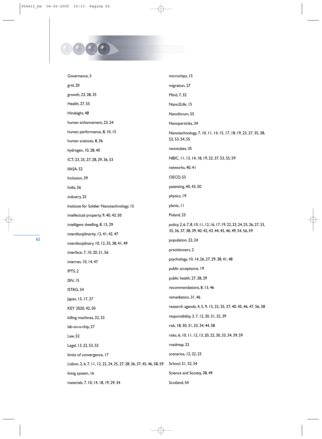Governance, 5 grid, 20 growth, 23, 28, 35 Health, 27, 55 Hindsight, 48 human enhancement, 23, 24 human performance, 8, 10, 15 human sciences, 8, 36 hydrogen, 10, 28, 40 ICT, 23, 25, 27, 28, 29, 36, 53 IIASA, 52 Inclusion, 39 India, 56 industry, 25 Institute for Soldier Nanotechnology, 15 intellectual property, 9, 40, 43, 50 intelligent dwelling, 8, 15, 29 interdisciplinarity, 12, 41, 42, 47 interdisciplinary, 10, 12, 35, 38, 41, 49 interface, 7, 10, 20, 21, 56 internet, 10, 14, 47 IPTS, 2 ISN, 15 ISTAG, 54 Japan, 15, 17, 27 KEY 2020, 42, 50 killing machines, 32, 33 lab-on-a-chip, 27 Law, 52 Legal, 13, 22, 53, 55 limits of convergence, 17 Lisbon, 2, 6, 7, 11, 12, 22, 24, 25, 27, 28, 36, 37, 45, 46, 58, 59 living system, 16 materials, 7, 10, 14, 18, 19, 29, 34 microchips, 15 migration, 27 Mind, 7, 32 Nano2Life, 15 Nanoforum, 55 Nanoparticles, 34 Nanotechnology, 7, 10, 11, 14, 15, 17, 18, 19, 23, 27, 35, 38, 52, 53, 54, 55 nanotubes, 35 NBIC, 11, 13, 14, 18, 19, 22, 37, 53, 55, 59 networks, 40, 41 OECD, 53 patenting, 40, 43, 50 physics, 19 plants, 11 Poland, 25 policy,2,6,7,8,10,11,12,16,17,19,22,23,24,25,26,27,33, 35, 36, 37, 38, 39, 40, 42, 43, 44, 45, 46, 49, 54, 56, 59 population, 22, 24 practitioners, 2 psychology, 10, 14, 26, 27, 29, 38, 41, 48 public acceptance, 19 public health, 27, 28, 29 recommendations, 8, 13, 46 remediation, 31, 46 research agenda, 4, 5, 9, 15, 22, 35, 37, 40, 45, 46, 47, 56, 58 responsibility, 3, 7, 12, 20, 31, 32, 39 risk, 18, 30, 31, 33, 34, 44, 58 risks, 6, 10, 11, 12, 13, 20, 22, 30, 33, 34, 39, 59 roadmap, 23 scenarios, 12, 22, 23 School, 51, 52, 54 Science and Society, 38, 49 Scotland, 54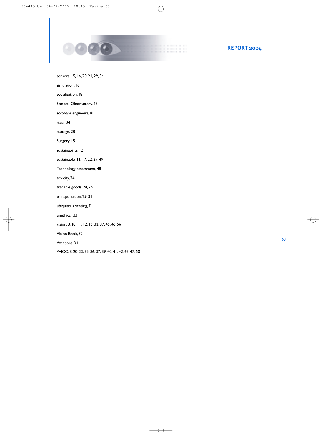sensors, 15, 16, 20, 21, 29, 34

simulation, 16

socialisation, 18

Societal Observatory, 43

software engineers, 41

steel, 24

storage, 28

Surgery, 15

sustainability, 12

sustainable, 11, 17, 22, 27, 49

Technology assessment, 48

toxicity, 34

tradable goods, 24, 26

transportation, 29, 31

ubiquitous sensing, 7

unethical, 33

vision, 8, 10, 11, 12, 15, 32, 37, 45, 46, 56

Vision Book, 52

Weapons, 34

WiCC, 8, 20, 33, 35, 36, 37, 39, 40, 41, 42, 43, 47, 50